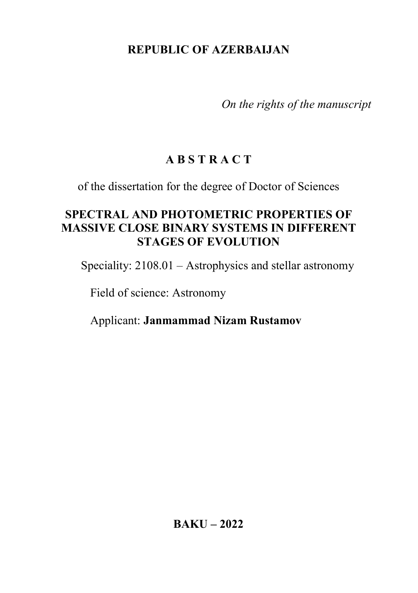## REPUBLIC OF AZERBAIJAN

On the rights of the manuscript

# A B S T R A C T

of the dissertation for the degree of Doctor of Sciences

## SPECTRAL AND PHOTOMETRIC PROPERTIES OF MASSIVE CLOSE BINARY SYSTEMS IN DIFFERENT STAGES OF EVOLUTION

Speciality: 2108.01 – Astrophysics and stellar astronomy

Field of science: Astronomy

Applicant: Janmammad Nizam Rustamov

BAKU – 2022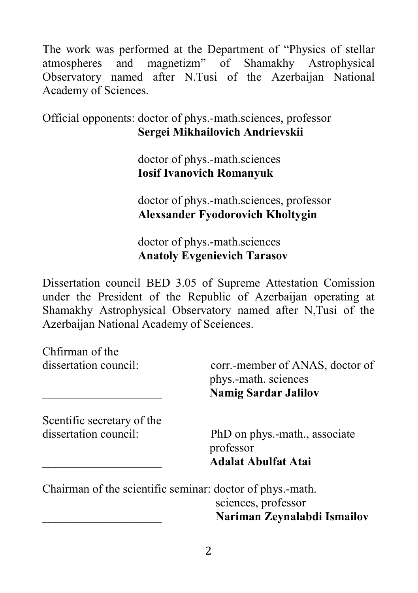The work was performed at the Department of "Physics of stellar atmospheres and magnetizm" of Shamakhy Astrophysical Observatory named after N.Tusi of the Azerbaijan National Academy of Sciences.

Official opponents: doctor of phys.-math.sciences, professor Sergei Mikhailovich Andrievskii

> doctor of phys.-math.sciences Iosif Ivanovich Romanyuk

doctor of phys.-math.sciences, professor Alexsander Fyodorovich Kholtygin

 doctor of phys.-math.sciences Anatoly Evgenievich Tarasov

Dissertation council BED 3.05 of Supreme Attestation Comission under the President of the Republic of Azerbaijan operating at Shamakhy Astrophysical Observatory named after N,Tusi of the Azerbaijan National Academy of Sceiences.

Chfirman of the dissertation council: corr.-member of ANAS, doctor of phys.-math. sciences \_\_\_\_\_\_\_\_\_\_\_\_\_\_\_\_\_\_\_\_ Namig Sardar Jalilov Scentific secretary of the dissertation council: PhD on phys.-math., associate professor \_\_\_\_\_\_\_\_\_\_\_\_\_\_\_\_\_\_\_\_ Adalat Abulfat Atai Chairman of the scientific seminar: doctor of phys.-math. sciences, professor

\_\_\_\_\_\_\_\_\_\_\_\_\_\_\_\_\_\_\_\_ Nariman Zeynalabdi Ismailov

2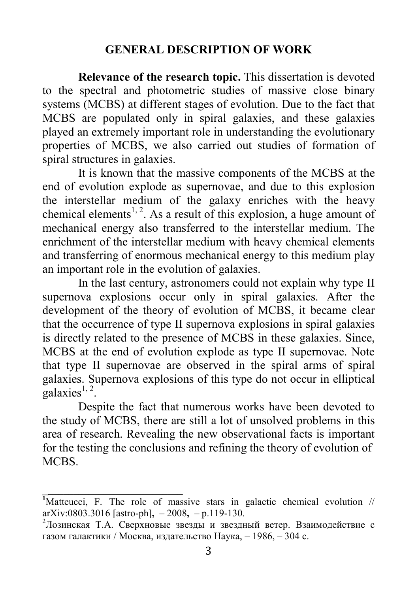#### GENERAL DESCRIPTION OF WORK

Relevance of the research topic. This dissertation is devoted to the spectral and photometric studies of massive close binary systems (MCBS) at different stages of evolution. Due to the fact that MCBS are populated only in spiral galaxies, and these galaxies played an extremely important role in understanding the evolutionary properties of MCBS, we also carried out studies of formation of spiral structures in galaxies.

It is known that the massive components of the MCBS at the end of evolution explode as supernovae, and due to this explosion the interstellar medium of the galaxy enriches with the heavy chemical elements<sup>1, 2</sup>. As a result of this explosion, a huge amount of mechanical energy also transferred to the interstellar medium. The enrichment of the interstellar medium with heavy chemical elements and transferring of enormous mechanical energy to this medium play an important role in the evolution of galaxies.

In the last century, astronomers could not explain why type II supernova explosions occur only in spiral galaxies. After the development of the theory of evolution of MCBS, it became clear that the occurrence of type II supernova explosions in spiral galaxies is directly related to the presence of MCBS in these galaxies. Since, MCBS at the end of evolution explode as type II supernovae. Note that type II supernovae are observed in the spiral arms of spiral galaxies. Supernova explosions of this type do not occur in elliptical  $galaxies<sup>1, 2</sup>$ .

Despite the fact that numerous works have been devoted to the study of MCBS, there are still a lot of unsolved problems in this area of research. Revealing the new observational facts is important for the testing the conclusions and refining the theory of evolution of **MCBS** 

 $\frac{1}{2}$  ,  $\frac{1}{2}$  ,  $\frac{1}{2}$  ,  $\frac{1}{2}$  ,  $\frac{1}{2}$  ,  $\frac{1}{2}$  ,  $\frac{1}{2}$  ,  $\frac{1}{2}$  ,  $\frac{1}{2}$  ,  $\frac{1}{2}$  ,  $\frac{1}{2}$  ,  $\frac{1}{2}$  ,  $\frac{1}{2}$  ,  $\frac{1}{2}$  ,  $\frac{1}{2}$  ,  $\frac{1}{2}$  ,  $\frac{1}{2}$  ,  $\frac{1}{2}$  ,  $\frac{1$ 

 $\overline{M}$ Matteucci, F. The role of massive stars in galactic chemical evolution // arXiv:0803.3016 [astro-ph], – 2008, – p.119-130.

<sup>2</sup>Лозинская Т.А. Сверхновые звезды и звездный ветер. Взаимодействие с газом галактики / Москва, издательство Наука, – 1986, – 304 с.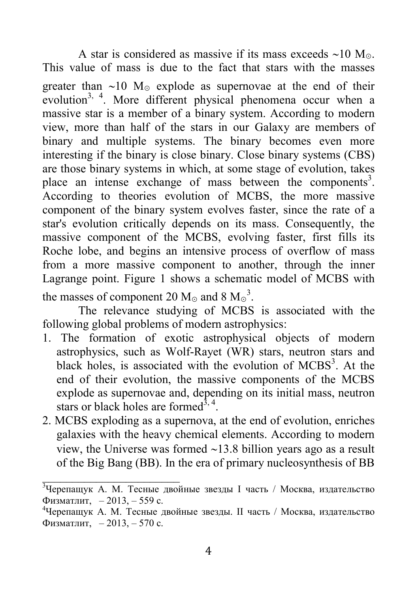A star is considered as massive if its mass exceeds  $\sim 10$  M $\odot$ . This value of mass is due to the fact that stars with the masses greater than  $\sim 10$  M<sub>☉</sub> explode as supernovae at the end of their evolution<sup>3, 4</sup>. More different physical phenomena occur when a massive star is a member of a binary system. According to modern view, more than half of the stars in our Galaxy are members of binary and multiple systems. The binary becomes even more interesting if the binary is close binary. Close binary systems (CBS) are those binary systems in which, at some stage of evolution, takes place an intense exchange of mass between the components<sup>3</sup>. According to theories evolution of MCBS, the more massive component of the binary system evolves faster, since the rate of a star's evolution critically depends on its mass. Consequently, the massive component of the MCBS, evolving faster, first fills its Roche lobe, and begins an intensive process of overflow of mass from a more massive component to another, through the inner Lagrange point. Figure 1 shows a schematic model of MCBS with the masses of component 20  $M_{\odot}$  and 8  $M_{\odot}^3$ .

The relevance studying of MCBS is associated with the following global problems of modern astrophysics:

- 1. The formation of exotic astrophysical objects of modern astrophysics, such as Wolf-Rayet (WR) stars, neutron stars and black holes, is associated with the evolution of MCBS<sup>3</sup>. At the end of their evolution, the massive components of the MCBS explode as supernovae and, depending on its initial mass, neutron stars or black holes are formed<sup>3, 4</sup>.
- 2. MCBS exploding as a supernova, at the end of evolution, enriches galaxies with the heavy chemical elements. According to modern view, the Universe was formed  $\sim$ 13.8 billion years ago as a result of the Big Bang (BB). In the era of primary nucleosynthesis of BB

<sup>&</sup>lt;sup>3</sup>Черепащук А. М. Тесные двойные звезды I часть / Москва, издательство Физматлит, – 2013, – 559 с.

<sup>4</sup>Черепащук А. М. Тесные двойные звезды. II часть / Москва, издательство Физматлит, – 2013, – 570 с.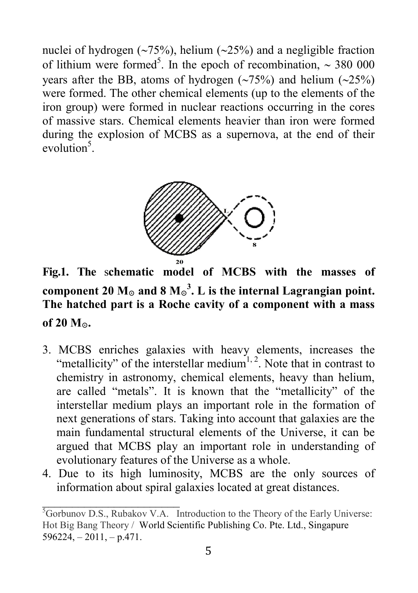nuclei of hydrogen  $(\sim 75\%)$ , helium  $(\sim 25\%)$  and a negligible fraction of lithium were formed<sup>5</sup>. In the epoch of recombination,  $\sim$  380 000 years after the BB, atoms of hydrogen  $(\sim 75\%)$  and helium  $(\sim 25\%)$ were formed. The other chemical elements (up to the elements of the iron group) were formed in nuclear reactions occurring in the cores of massive stars. Chemical elements heavier than iron were formed during the explosion of MCBS as a supernova, at the end of their  $evolution<sup>5</sup>$ .



Fig.1. The schematic model of MCBS with the masses of component 20 M<sub>☉</sub> and 8 M<sub>☉</sub><sup>3</sup>. L is the internal Lagrangian point. The hatched part is a Roche cavity of a component with a mass of 20 M⊙.

- 3. MCBS enriches galaxies with heavy elements, increases the "metallicity" of the interstellar medium<sup>1, 2</sup>. Note that in contrast to chemistry in astronomy, chemical elements, heavy than helium, are called "metals". It is known that the "metallicity" of the interstellar medium plays an important role in the formation of next generations of stars. Taking into account that galaxies are the main fundamental structural elements of the Universe, it can be argued that MCBS play an important role in understanding of evolutionary features of the Universe as a whole.
- 4. Due to its high luminosity, MCBS are the only sources of information about spiral galaxies located at great distances.

<sup>&</sup>lt;sup>5</sup>Gorbunov D.S., Rubakov V.A. Introduction to the Theory of the Early Universe: Hot Big Bang Theory / World Scientific Publishing Co. Pte. Ltd., Singapure  $596224, -2011, -p.471.$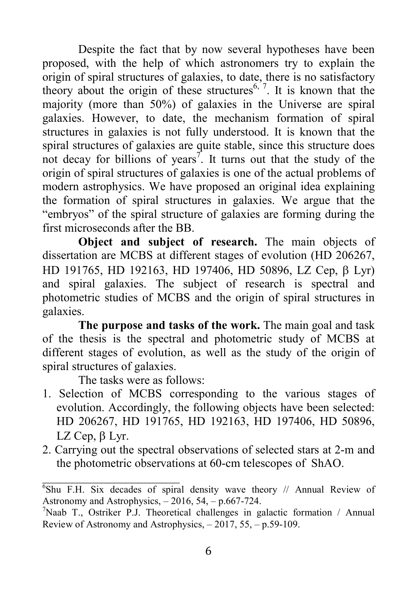Despite the fact that by now several hypotheses have been proposed, with the help of which astronomers try to explain the origin of spiral structures of galaxies, to date, there is no satisfactory theory about the origin of these structures<sup>6,  $7$ </sup>. It is known that the majority (more than 50%) of galaxies in the Universe are spiral galaxies. However, to date, the mechanism formation of spiral structures in galaxies is not fully understood. It is known that the spiral structures of galaxies are quite stable, since this structure does not decay for billions of years<sup>7</sup>. It turns out that the study of the origin of spiral structures of galaxies is one of the actual problems of modern astrophysics. We have proposed an original idea explaining the formation of spiral structures in galaxies. We argue that the "embryos" of the spiral structure of galaxies are forming during the first microseconds after the BB.

Object and subject of research. The main objects of dissertation are MCBS at different stages of evolution (HD 206267, HD 191765, HD 192163, HD 197406, HD 50896, LZ Cep,  $\beta$  Lyr) and spiral galaxies. The subject of research is spectral and photometric studies of MCBS and the origin of spiral structures in galaxies.

The purpose and tasks of the work. The main goal and task of the thesis is the spectral and photometric study of MCBS at different stages of evolution, as well as the study of the origin of spiral structures of galaxies.

The tasks were as follows:

- 1. Selection of MCBS corresponding to the various stages of evolution. Accordingly, the following objects have been selected: HD 206267, HD 191765, HD 192163, HD 197406, HD 50896, LZ Cep,  $\beta$  Lyr.
- 2. Carrying out the spectral observations of selected stars at 2-m and the photometric observations at 60-cm telescopes of ShAO.

 $\overline{6}$ Shu F.H. Six decades of spiral density wave theory // Annual Review of Astronomy and Astrophysics,  $-2016$ , 54,  $- p.667 - 724$ .

<sup>&</sup>lt;sup>7</sup>Naab T., Ostriker P.J. Theoretical challenges in galactic formation / Annual Review of Astronomy and Astrophysics,  $-2017$ , 55,  $-$  p.59-109.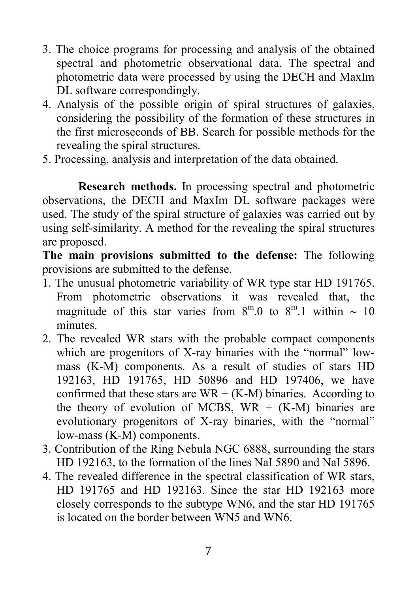- 3. The choice programs for processing and analysis of the obtained spectral and photometric observational data. The spectral and photometric data were processed by using the DECH and MaxIm DL software correspondingly.
- 4. Analysis of the possible origin of spiral structures of galaxies, considering the possibility of the formation of these structures in the first microseconds of BB. Search for possible methods for the revealing the spiral structures.
- 5. Processing, analysis and interpretation of the data obtained.

Research methods. In processing spectral and photometric observations, the DECH and MaxIm DL software packages were used. The study of the spiral structure of galaxies was carried out by using self-similarity. A method for the revealing the spiral structures are proposed.

The main provisions submitted to the defense: The following provisions are submitted to the defense.

- 1. The unusual photometric variability of WR type star HD 191765. From photometric observations it was revealed that, the magnitude of this star varies from  $8^{\text{m}}.0$  to  $8^{\text{m}}.1$  within  $\sim 10$ minutes.
- 2. The revealed WR stars with the probable compact components which are progenitors of X-ray binaries with the "normal" lowmass (K-M) components. As a result of studies of stars HD 192163, HD 191765, HD 50896 and HD 197406, we have confirmed that these stars are  $WR + (K-M)$  binaries. According to the theory of evolution of MCBS,  $WR + (K-M)$  binaries are evolutionary progenitors of X-ray binaries, with the "normal" low-mass (K-M) components.
- 3. Contribution of the Ring Nebula NGC 6888, surrounding the stars HD 192163, to the formation of the lines NaI 5890 and NaI 5896.
- 4. The revealed difference in the spectral classification of WR stars, HD 191765 and HD 192163. Since the star HD 192163 more closely corresponds to the subtype WN6, and the star HD 191765 is located on the border between WN5 and WN6.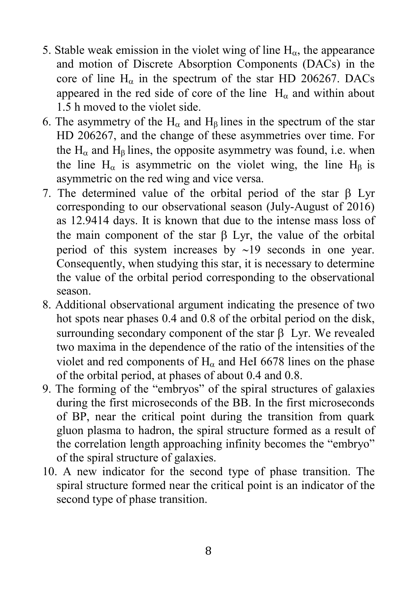- 5. Stable weak emission in the violet wing of line  $H_{\alpha}$ , the appearance and motion of Discrete Absorption Components (DACs) in the core of line  $H_{\alpha}$  in the spectrum of the star HD 206267. DACs appeared in the red side of core of the line  $H_{\alpha}$  and within about 1.5 h moved to the violet side.
- 6. The asymmetry of the  $H_{\alpha}$  and  $H_{\beta}$  lines in the spectrum of the star HD 206267, and the change of these asymmetries over time. For the  $H_{\alpha}$  and  $H_{\beta}$  lines, the opposite asymmetry was found, i.e. when the line  $H_{\alpha}$  is asymmetric on the violet wing, the line  $H_{\beta}$  is asymmetric on the red wing and vice versa.
- 7. The determined value of the orbital period of the star  $\beta$  Lyr corresponding to our observational season (July-August of 2016) as 12.9414 days. It is known that due to the intense mass loss of the main component of the star  $\beta$  Lyr, the value of the orbital period of this system increases by  $\sim$ 19 seconds in one year. Consequently, when studying this star, it is necessary to determine the value of the orbital period corresponding to the observational season.
- 8. Additional observational argument indicating the presence of two hot spots near phases 0.4 and 0.8 of the orbital period on the disk, surrounding secondary component of the star  $\beta$  Lyr. We revealed two maxima in the dependence of the ratio of the intensities of the violet and red components of  $H<sub>\alpha</sub>$  and HeI 6678 lines on the phase of the orbital period, at phases of about 0.4 and 0.8.
- 9. The forming of the "embryos" of the spiral structures of galaxies during the first microseconds of the BB. In the first microseconds of BP, near the critical point during the transition from quark gluon plasma to hadron, the spiral structure formed as a result of the correlation length approaching infinity becomes the "embryo" of the spiral structure of galaxies.
- 10. A new indicator for the second type of phase transition. The spiral structure formed near the critical point is an indicator of the second type of phase transition.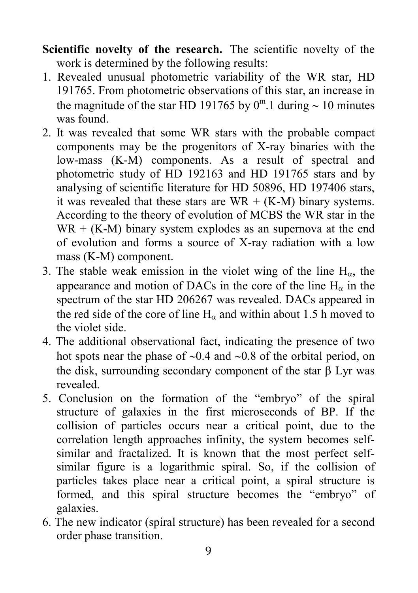- Scientific novelty of the research. The scientific novelty of the work is determined by the following results:
- 1. Revealed unusual photometric variability of the WR star, HD 191765. From photometric observations of this star, an increase in the magnitude of the star HD 191765 by  $0^{\text{m}}.1$  during  $\sim 10$  minutes was found.
- 2. It was revealed that some WR stars with the probable compact components may be the progenitors of X-ray binaries with the low-mass (K-M) components. As a result of spectral and photometric study of HD 192163 and HD 191765 stars and by analysing of scientific literature for HD 50896, HD 197406 stars, it was revealed that these stars are  $WR + (K-M)$  binary systems. According to the theory of evolution of MCBS the WR star in the  $WR + (K-M)$  binary system explodes as an supernova at the end of evolution and forms a source of X-ray radiation with a low mass (K-M) component.
- 3. The stable weak emission in the violet wing of the line  $H_{\alpha}$ , the appearance and motion of DACs in the core of the line  $H_{\alpha}$  in the spectrum of the star HD 206267 was revealed. DACs appeared in the red side of the core of line  $H<sub>\alpha</sub>$  and within about 1.5 h moved to the violet side.
- 4. The additional observational fact, indicating the presence of two hot spots near the phase of  $\sim 0.4$  and  $\sim 0.8$  of the orbital period, on the disk, surrounding secondary component of the star  $\beta$  Lyr was revealed.
- 5. Conclusion on the formation of the "embryo" of the spiral structure of galaxies in the first microseconds of BP. If the collision of particles occurs near a critical point, due to the correlation length approaches infinity, the system becomes selfsimilar and fractalized. It is known that the most perfect selfsimilar figure is a logarithmic spiral. So, if the collision of particles takes place near a critical point, a spiral structure is formed, and this spiral structure becomes the "embryo" of galaxies.
- 6. The new indicator (spiral structure) has been revealed for a second order phase transition.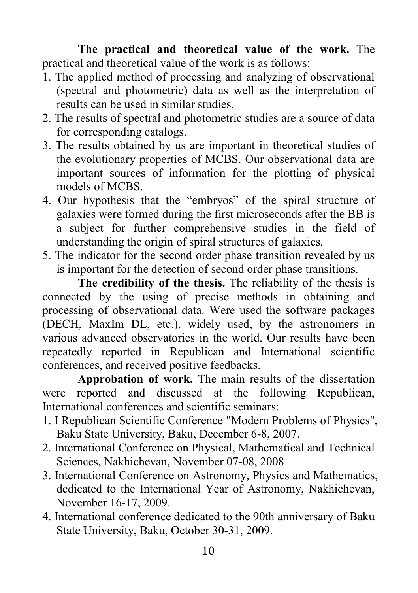The practical and theoretical value of the work. The practical and theoretical value of the work is as follows:

- 1. The applied method of processing and analyzing of observational (spectral and photometric) data as well as the interpretation of results can be used in similar studies.
- 2. The results of spectral and photometric studies are a source of data for corresponding catalogs.
- 3. The results obtained by us are important in theoretical studies of the evolutionary properties of MCBS. Our observational data are important sources of information for the plotting of physical models of MCBS.
- 4. Our hypothesis that the "embryos" of the spiral structure of galaxies were formed during the first microseconds after the BB is a subject for further comprehensive studies in the field of understanding the origin of spiral structures of galaxies.
- 5. The indicator for the second order phase transition revealed by us is important for the detection of second order phase transitions.

The credibility of the thesis. The reliability of the thesis is connected by the using of precise methods in obtaining and processing of observational data. Were used the software packages (DECH, MaxIm DL, etc.), widely used, by the astronomers in various advanced observatories in the world. Our results have been repeatedly reported in Republican and International scientific conferences, and received positive feedbacks.

Approbation of work. The main results of the dissertation were reported and discussed at the following Republican, International conferences and scientific seminars:

- 1. I Republican Scientific Conference "Modern Problems of Physics", Baku State University, Baku, December 6-8, 2007.
- 2. International Conference on Physical, Mathematical and Technical Sciences, Nakhichevan, November 07-08, 2008
- 3. International Conference on Astronomy, Physics and Mathematics, dedicated to the International Year of Astronomy, Nakhichevan, November 16-17, 2009.
- 4. International conference dedicated to the 90th anniversary of Baku State University, Baku, October 30-31, 2009.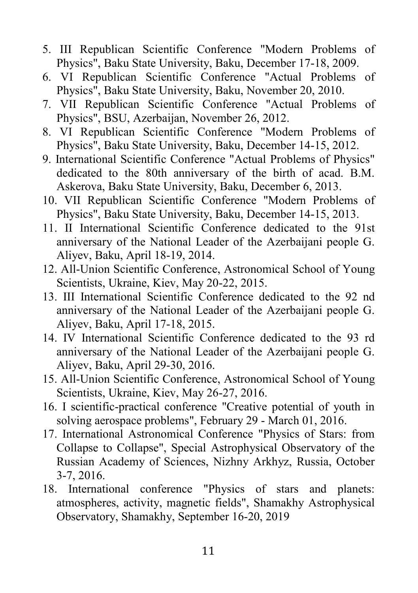- 5. III Republican Scientific Conference "Modern Problems of Physics", Baku State University, Baku, December 17-18, 2009.
- 6. VI Republican Scientific Conference "Actual Problems of Physics", Baku State University, Baku, November 20, 2010.
- 7. VII Republican Scientific Conference "Actual Problems of Physics", BSU, Azerbaijan, November 26, 2012.
- 8. VI Republican Scientific Conference "Modern Problems of Physics", Baku State University, Baku, December 14-15, 2012.
- 9. International Scientific Conference "Actual Problems of Physics" dedicated to the 80th anniversary of the birth of acad. B.M. Askerova, Baku State University, Baku, December 6, 2013.
- 10. VII Republican Scientific Conference "Modern Problems of Physics", Baku State University, Baku, December 14-15, 2013.
- 11. II International Scientific Conference dedicated to the 91st anniversary of the National Leader of the Azerbaijani people G. Aliyev, Baku, April 18-19, 2014.
- 12. All-Union Scientific Conference, Astronomical School of Young Scientists, Ukraine, Kiev, May 20-22, 2015.
- 13. III International Scientific Conference dedicated to the 92 nd anniversary of the National Leader of the Azerbaijani people G. Aliyev, Baku, April 17-18, 2015.
- 14. IV International Scientific Conference dedicated to the 93 rd anniversary of the National Leader of the Azerbaijani people G. Aliyev, Baku, April 29-30, 2016.
- 15. All-Union Scientific Conference, Astronomical School of Young Scientists, Ukraine, Kiev, May 26-27, 2016.
- 16. I scientific-practical conference "Creative potential of youth in solving aerospace problems", February 29 - March 01, 2016.
- 17. International Astronomical Conference "Physics of Stars: from Collapse to Collapse", Special Astrophysical Observatory of the Russian Academy of Sciences, Nizhny Arkhyz, Russia, October 3-7, 2016.
- 18. International conference "Physics of stars and planets: atmospheres, activity, magnetic fields", Shamakhy Astrophysical Observatory, Shamakhy, September 16-20, 2019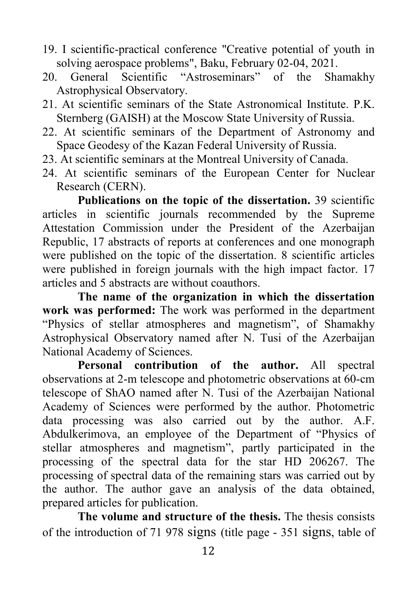- 19. I scientific-practical conference "Creative potential of youth in solving aerospace problems", Baku, February 02-04, 2021.
- 20. General Scientific "Astroseminars" of the Shamakhy Astrophysical Observatory.
- 21. At scientific seminars of the State Astronomical Institute. P.K. Sternberg (GAISH) at the Moscow State University of Russia.
- 22. At scientific seminars of the Department of Astronomy and Space Geodesy of the Kazan Federal University of Russia.
- 23. At scientific seminars at the Montreal University of Canada.
- 24. At scientific seminars of the European Center for Nuclear Research (CERN).

Publications on the topic of the dissertation. 39 scientific articles in scientific journals recommended by the Supreme Attestation Commission under the President of the Azerbaijan Republic, 17 abstracts of reports at conferences and one monograph were published on the topic of the dissertation. 8 scientific articles were published in foreign journals with the high impact factor. 17 articles and 5 abstracts are without coauthors.

The name of the organization in which the dissertation work was performed: The work was performed in the department "Physics of stellar atmospheres and magnetism", of Shamakhy Astrophysical Observatory named after N. Tusi of the Azerbaijan National Academy of Sciences.

Personal contribution of the author. All spectral observations at 2-m telescope and photometric observations at 60-cm telescope of ShAO named after N. Tusi of the Azerbaijan National Academy of Sciences were performed by the author. Photometric data processing was also carried out by the author. A.F. Abdulkerimova, an employee of the Department of "Physics of stellar atmospheres and magnetism", partly participated in the processing of the spectral data for the star HD 206267. The processing of spectral data of the remaining stars was carried out by the author. The author gave an analysis of the data obtained, prepared articles for publication.

The volume and structure of the thesis. The thesis consists of the introduction of 71 978 signs (title page - 351 signs, table of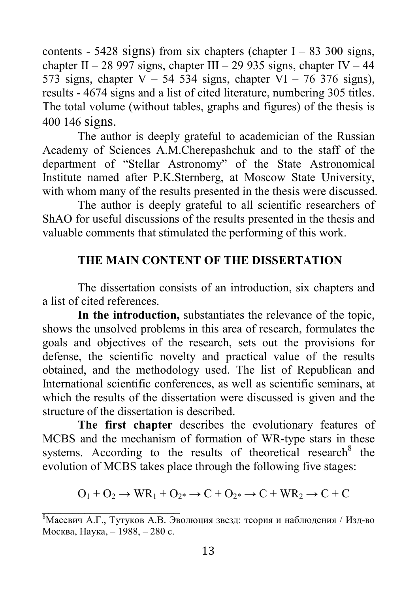contents - 5428 signs) from six chapters (chapter  $I - 83,300$  signs, chapter II – 28 997 signs, chapter III – 29 935 signs, chapter IV – 44 573 signs, chapter  $V - 54$  534 signs, chapter  $VI - 76$  376 signs), results - 4674 signs and a list of cited literature, numbering 305 titles. The total volume (without tables, graphs and figures) of the thesis is 400 146 signs.

The author is deeply grateful to academician of the Russian Academy of Sciences A.M.Cherepashchuk and to the staff of the department of "Stellar Astronomy" of the State Astronomical Institute named after P.K.Sternberg, at Moscow State University, with whom many of the results presented in the thesis were discussed.

The author is deeply grateful to all scientific researchers of ShAO for useful discussions of the results presented in the thesis and valuable comments that stimulated the performing of this work.

### THE MAIN CONTENT OF THE DISSERTATION

The dissertation consists of an introduction, six chapters and a list of cited references.

In the introduction, substantiates the relevance of the topic, shows the unsolved problems in this area of research, formulates the goals and objectives of the research, sets out the provisions for defense, the scientific novelty and practical value of the results obtained, and the methodology used. The list of Republican and International scientific conferences, as well as scientific seminars, at which the results of the dissertation were discussed is given and the structure of the dissertation is described.

The first chapter describes the evolutionary features of MCBS and the mechanism of formation of WR-type stars in these systems. According to the results of theoretical research  $8$  the evolution of MCBS takes place through the following five stages:

$$
O_1 + O_2 \rightarrow WR_1 + O_{2^*} \rightarrow C + O_{2^*} \rightarrow C + WR_2 \rightarrow C + C
$$

 $\overline{8}$ Масевич А.Г., Тутуков А.В. Эволюция звезд: теория и наблюдения / Изд-во Москва, Наука, – 1988, – 280 с.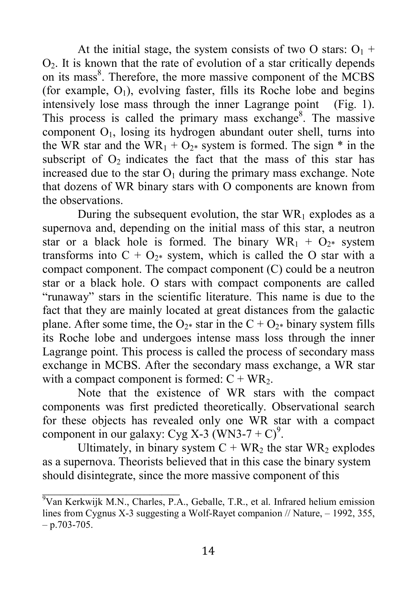At the initial stage, the system consists of two O stars:  $O_1$  +  $O<sub>2</sub>$ . It is known that the rate of evolution of a star critically depends on its mass<sup>8</sup>. Therefore, the more massive component of the MCBS (for example,  $O_1$ ), evolving faster, fills its Roche lobe and begins intensively lose mass through the inner Lagrange point (Fig. 1). This process is called the primary mass exchange<sup>8</sup>. The massive component  $O<sub>1</sub>$ , losing its hydrogen abundant outer shell, turns into the WR star and the WR<sub>1</sub> + O<sub>2\*</sub> system is formed. The sign \* in the subscript of  $O<sub>2</sub>$  indicates the fact that the mass of this star has increased due to the star  $O_1$  during the primary mass exchange. Note that dozens of WR binary stars with O components are known from the observations.

During the subsequent evolution, the star  $WR_1$  explodes as a supernova and, depending on the initial mass of this star, a neutron star or a black hole is formed. The binary  $WR_1 + Q_{2*}$  system transforms into  $C + O_{2*}$  system, which is called the O star with a compact component. The compact component (C) could be a neutron star or a black hole. O stars with compact components are called "runaway" stars in the scientific literature. This name is due to the fact that they are mainly located at great distances from the galactic plane. After some time, the  $O_{2*}$  star in the  $C + O_{2*}$  binary system fills its Roche lobe and undergoes intense mass loss through the inner Lagrange point. This process is called the process of secondary mass exchange in MCBS. After the secondary mass exchange, a WR star with a compact component is formed:  $C + WR_2$ .

Note that the existence of WR stars with the compact components was first predicted theoretically. Observational search for these objects has revealed only one WR star with a compact component in our galaxy: Cyg X-3 (WN3-7 + C)<sup>9</sup>.

Ultimately, in binary system  $C + WR_2$  the star WR<sub>2</sub> explodes as a supernova. Theorists believed that in this case the binary system should disintegrate, since the more massive component of this

 $\sqrt[9]{\text{Van Kerkwijk M.N.}}$ , Charles, P.A., Geballe, T.R., et al. Infrared helium emission lines from Cygnus X-3 suggesting a Wolf-Rayet companion // Nature, -1992, 355,  $- p.703 - 705.$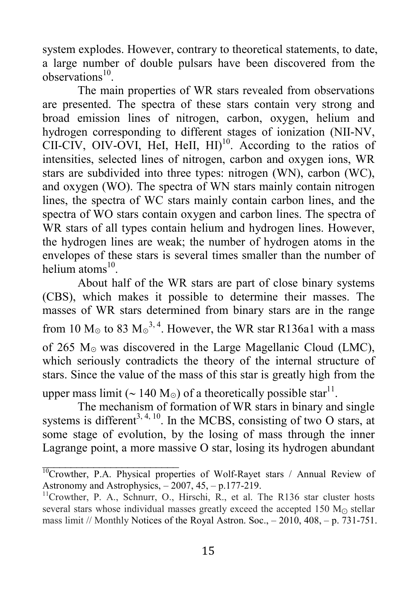system explodes. However, contrary to theoretical statements, to date, a large number of double pulsars have been discovered from the observations<sup>10</sup>.

The main properties of WR stars revealed from observations are presented. The spectra of these stars contain very strong and broad emission lines of nitrogen, carbon, oxygen, helium and hydrogen corresponding to different stages of ionization (NII-NV,  $CII-CIV$ , OIV-OVI, HeI, HeII,  $HII$ <sup>10</sup>. According to the ratios of intensities, selected lines of nitrogen, carbon and oxygen ions, WR stars are subdivided into three types: nitrogen (WN), carbon (WC), and oxygen (WO). The spectra of WN stars mainly contain nitrogen lines, the spectra of WC stars mainly contain carbon lines, and the spectra of WO stars contain oxygen and carbon lines. The spectra of WR stars of all types contain helium and hydrogen lines. However, the hydrogen lines are weak; the number of hydrogen atoms in the envelopes of these stars is several times smaller than the number of helium atoms $^{10}$ .

About half of the WR stars are part of close binary systems (CBS), which makes it possible to determine their masses. The masses of WR stars determined from binary stars are in the range from 10  $M_{\odot}$  to 83  $M_{\odot}^{3,4}$ . However, the WR star R136a1 with a mass of 265 M<sup>⊙</sup> was discovered in the Large Magellanic Cloud (LMC), which seriously contradicts the theory of the internal structure of stars. Since the value of the mass of this star is greatly high from the upper mass limit ( $\sim 140 \text{ M}_{\odot}$ ) of a theoretically possible star<sup>11</sup>.

The mechanism of formation of WR stars in binary and single systems is different<sup>3, 4, 10</sup>. In the MCBS, consisting of two O stars, at some stage of evolution, by the losing of mass through the inner Lagrange point, a more massive O star, losing its hydrogen abundant

 $\mathcal{L}_\text{max}$  , where  $\mathcal{L}_\text{max}$  and  $\mathcal{L}_\text{max}$ 

<sup>&</sup>lt;sup>10</sup>Crowther, P.A. Physical properties of Wolf-Rayet stars / Annual Review of Astronomy and Astrophysics, – 2007, 45, – р.177-219.

 $11$ Crowther, P. A., Schnurr, O., Hirschi, R., et al. The R136 star cluster hosts several stars whose individual masses greatly exceed the accepted 150  $M_{\odot}$  stellar mass limit // Monthly Notices of the Royal Astron. Soc., – 2010, 408, – p. 731-751.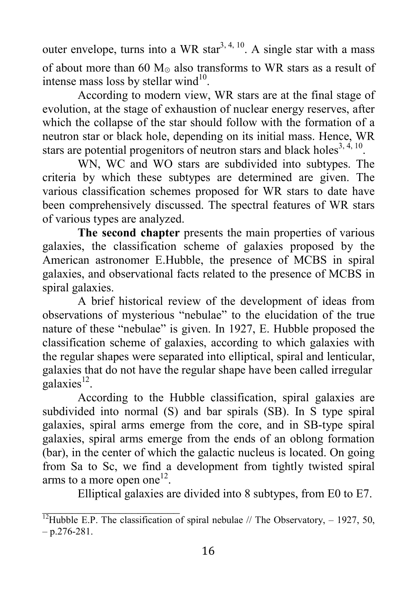outer envelope, turns into a WR star<sup>3, 4, 10</sup>. A single star with a mass of about more than 60 M<sub>☉</sub> also transforms to WR stars as a result of intense mass loss by stellar wind $10$ .

According to modern view, WR stars are at the final stage of evolution, at the stage of exhaustion of nuclear energy reserves, after which the collapse of the star should follow with the formation of a neutron star or black hole, depending on its initial mass. Hence, WR stars are potential progenitors of neutron stars and black holes<sup>3, 4, 10</sup>.

WN, WC and WO stars are subdivided into subtypes. The criteria by which these subtypes are determined are given. The various classification schemes proposed for WR stars to date have been comprehensively discussed. The spectral features of WR stars of various types are analyzed.

The second chapter presents the main properties of various galaxies, the classification scheme of galaxies proposed by the American astronomer E.Hubble, the presence of MCBS in spiral galaxies, and observational facts related to the presence of MCBS in spiral galaxies.

A brief historical review of the development of ideas from observations of mysterious "nebulae" to the elucidation of the true nature of these "nebulae" is given. In 1927, E. Hubble proposed the classification scheme of galaxies, according to which galaxies with the regular shapes were separated into elliptical, spiral and lenticular, galaxies that do not have the regular shape have been called irregular  $\text{galaxies}^{12}$ .

According to the Hubble classification, spiral galaxies are subdivided into normal (S) and bar spirals (SB). In S type spiral galaxies, spiral arms emerge from the core, and in SB-type spiral galaxies, spiral arms emerge from the ends of an oblong formation (bar), in the center of which the galactic nucleus is located. On going from Sa to Sc, we find a development from tightly twisted spiral arms to a more open one<sup>12</sup>.

Elliptical galaxies are divided into 8 subtypes, from E0 to E7.

<sup>&</sup>lt;sup>12</sup>Hubble E.P. The classification of spiral nebulae // The Observatory,  $-$  1927, 50,  $- p.276 - 281.$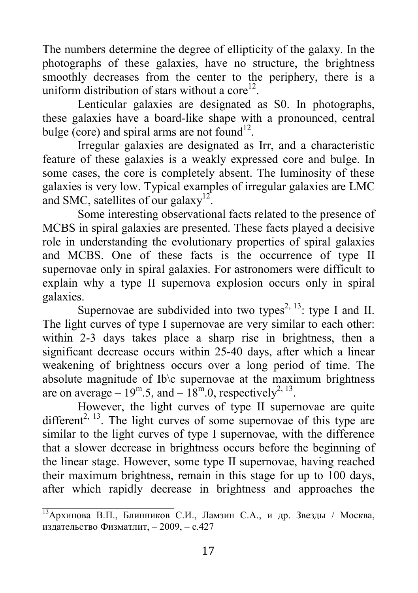The numbers determine the degree of ellipticity of the galaxy. In the photographs of these galaxies, have no structure, the brightness smoothly decreases from the center to the periphery, there is a uniform distribution of stars without a core<sup>12</sup>.

Lenticular galaxies are designated as S0. In photographs, these galaxies have a board-like shape with a pronounced, central bulge (core) and spiral arms are not found<sup>12</sup>.

Irregular galaxies are designated as Irr, and a characteristic feature of these galaxies is a weakly expressed core and bulge. In some cases, the core is completely absent. The luminosity of these galaxies is very low. Typical examples of irregular galaxies are LMC and SMC, satellites of our galaxy<sup>12</sup>.

Some interesting observational facts related to the presence of MCBS in spiral galaxies are presented. These facts played a decisive role in understanding the evolutionary properties of spiral galaxies and MCBS. One of these facts is the occurrence of type II supernovae only in spiral galaxies. For astronomers were difficult to explain why a type II supernova explosion occurs only in spiral galaxies.

Supernovae are subdivided into two types<sup>2, 13</sup>: type I and II. The light curves of type I supernovae are very similar to each other: within 2-3 days takes place a sharp rise in brightness, then a significant decrease occurs within 25-40 days, after which a linear weakening of brightness occurs over a long period of time. The absolute magnitude of Ib\c supernovae at the maximum brightness are on average –  $19^{\text{m}}.5$ , and –  $18^{\text{m}}.0$ , respectively<sup>2, 13</sup>.

However, the light curves of type II supernovae are quite different<sup>2, 13</sup>. The light curves of some supernovae of this type are similar to the light curves of type I supernovae, with the difference that a slower decrease in brightness occurs before the beginning of the linear stage. However, some type II supernovae, having reached their maximum brightness, remain in this stage for up to 100 days, after which rapidly decrease in brightness and approaches the

\_\_\_\_\_\_\_\_\_\_\_\_\_\_\_\_\_\_\_\_\_\_

<sup>13</sup>Архипова В.П., Блинников С.И., Ламзин С.А., и др. Звезды / Москва, издательство Физматлит, – 2009, – с.427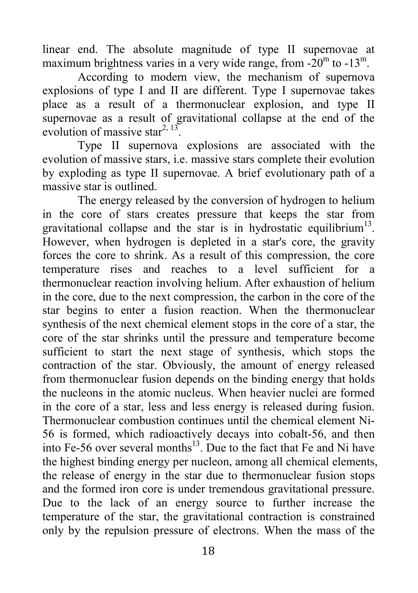linear end. The absolute magnitude of type II supernovae at maximum brightness varies in a very wide range, from  $-20^{\rm m}$  to  $-13^{\rm m}$ .

According to modern view, the mechanism of supernova explosions of type I and II are different. Type I supernovae takes place as a result of a thermonuclear explosion, and type II supernovae as a result of gravitational collapse at the end of the evolution of massive star<sup>2, 13</sup>.

Type II supernova explosions are associated with the evolution of massive stars, i.e. massive stars complete their evolution by exploding as type II supernovae. A brief evolutionary path of a massive star is outlined.

The energy released by the conversion of hydrogen to helium in the core of stars creates pressure that keeps the star from gravitational collapse and the star is in hydrostatic equilibrium<sup>13</sup>. However, when hydrogen is depleted in a star's core, the gravity forces the core to shrink. As a result of this compression, the core temperature rises and reaches to a level sufficient for a thermonuclear reaction involving helium. After exhaustion of helium in the core, due to the next compression, the carbon in the core of the star begins to enter a fusion reaction. When the thermonuclear synthesis of the next chemical element stops in the core of a star, the core of the star shrinks until the pressure and temperature become sufficient to start the next stage of synthesis, which stops the contraction of the star. Obviously, the amount of energy released from thermonuclear fusion depends on the binding energy that holds the nucleons in the atomic nucleus. When heavier nuclei are formed in the core of a star, less and less energy is released during fusion. Thermonuclear combustion continues until the chemical element Ni-56 is formed, which radioactively decays into cobalt-56, and then into Fe-56 over several months $^{13}$ . Due to the fact that Fe and Ni have the highest binding energy per nucleon, among all chemical elements, the release of energy in the star due to thermonuclear fusion stops and the formed iron core is under tremendous gravitational pressure. Due to the lack of an energy source to further increase the temperature of the star, the gravitational contraction is constrained only by the repulsion pressure of electrons. When the mass of the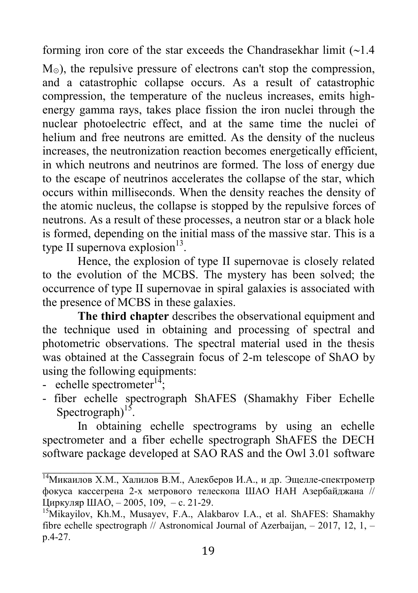forming iron core of the star exceeds the Chandrasekhar limit  $\left(\sim\right)$ .

M<sub>☉</sub>), the repulsive pressure of electrons can't stop the compression, and a catastrophic collapse occurs. As a result of catastrophic compression, the temperature of the nucleus increases, emits highenergy gamma rays, takes place fission the iron nuclei through the nuclear photoelectric effect, and at the same time the nuclei of helium and free neutrons are emitted. As the density of the nucleus increases, the neutronization reaction becomes energetically efficient, in which neutrons and neutrinos are formed. The loss of energy due to the escape of neutrinos accelerates the collapse of the star, which occurs within milliseconds. When the density reaches the density of the atomic nucleus, the collapse is stopped by the repulsive forces of neutrons. As a result of these processes, a neutron star or a black hole is formed, depending on the initial mass of the massive star. This is a type II supernova explosion $13$ .

Hence, the explosion of type II supernovae is closely related to the evolution of the MСBS. The mystery has been solved; the occurrence of type II supernovae in spiral galaxies is associated with the presence of MCBS in these galaxies.

The third chapter describes the observational equipment and the technique used in obtaining and processing of spectral and photometric observations. The spectral material used in the thesis was obtained at the Cassegrain focus of 2-m telescope of ShAO by using the following equipments:

- echelle spectrometer $1^4$ ;
- fiber echelle spectrograph ShAFES (Shamakhy Fiber Echelle Spectrograph) $15$ .

In obtaining echelle spectrograms by using an echelle spectrometer and a fiber echelle spectrograph ShAFES the DECH software package developed at SAO RAS and the Owl 3.01 software

<sup>14</sup>Микаилов Х.М., Халилов В.М., Алекберов И.А., и др. Эщелле-спектрометр фокуса кассегрена 2-х метрового телескопа ШАО НАН Азербайджана // Циркуляр ШАО, – 2005, 109, – с. 21-29.

<sup>&</sup>lt;sup>15</sup>Mikayilov, Kh.M., Musayev, F.A., Alakbarov I.A., et al. ShAFES: Shamakhy fibre echelle spectrograph // Astronomical Journal of Azerbaijan,  $-2017$ , 12, 1,  $$ p.4-27.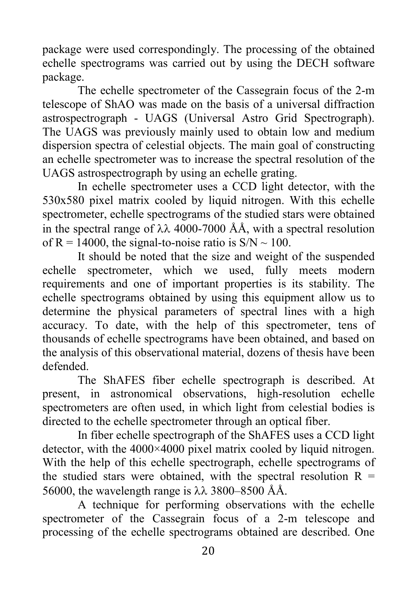package were used correspondingly. The processing of the obtained echelle spectrograms was carried out by using the DECH software package.

The echelle spectrometer of the Cassegrain focus of the 2-m telescope of ShAO was made on the basis of a universal diffraction astrospectrograph - UAGS (Universal Astro Grid Spectrograph). The UAGS was previously mainly used to obtain low and medium dispersion spectra of celestial objects. The main goal of constructing an echelle spectrometer was to increase the spectral resolution of the UAGS astrospectrograph by using an echelle grating.

In echelle spectrometer uses a CCD light detector, with the 530x580 pixel matrix cooled by liquid nitrogen. With this echelle spectrometer, echelle spectrograms of the studied stars were obtained in the spectral range of  $\lambda\lambda$  4000-7000 ÅÅ, with a spectral resolution of  $R = 14000$ , the signal-to-noise ratio is  $S/N \sim 100$ .

It should be noted that the size and weight of the suspended echelle spectrometer, which we used, fully meets modern requirements and one of important properties is its stability. The echelle spectrograms obtained by using this equipment allow us to determine the physical parameters of spectral lines with a high accuracy. To date, with the help of this spectrometer, tens of thousands of echelle spectrograms have been obtained, and based on the analysis of this observational material, dozens of thesis have been defended.

The ShAFES fiber echelle spectrograph is described. At present, in astronomical observations, high-resolution echelle spectrometers are often used, in which light from celestial bodies is directed to the echelle spectrometer through an optical fiber.

In fiber echelle spectrograph of the ShAFES uses a CCD light detector, with the 4000×4000 pixel matrix cooled by liquid nitrogen. With the help of this echelle spectrograph, echelle spectrograms of the studied stars were obtained, with the spectral resolution  $R =$ 56000, the wavelength range is  $\lambda \lambda$  3800–8500 ÅÅ.

A technique for performing observations with the echelle spectrometer of the Cassegrain focus of a 2-m telescope and processing of the echelle spectrograms obtained are described. One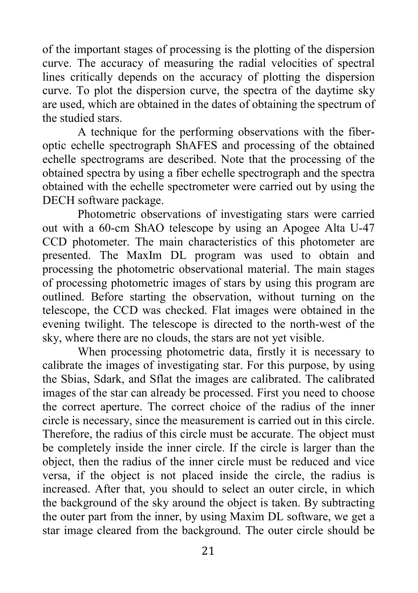of the important stages of processing is the plotting of the dispersion curve. The accuracy of measuring the radial velocities of spectral lines critically depends on the accuracy of plotting the dispersion curve. To plot the dispersion curve, the spectra of the daytime sky are used, which are obtained in the dates of obtaining the spectrum of the studied stars.

A technique for the performing observations with the fiberoptic echelle spectrograph ShAFES and processing of the obtained echelle spectrograms are described. Note that the processing of the obtained spectra by using a fiber echelle spectrograph and the spectra obtained with the echelle spectrometer were carried out by using the DECH software package.

Photometric observations of investigating stars were carried out with a 60-cm ShAO telescope by using an Apogee Alta U-47 CCD photometer. The main characteristics of this photometer are presented. The MaxIm DL program was used to obtain and processing the photometric observational material. The main stages of processing photometric images of stars by using this program are outlined. Before starting the observation, without turning on the telescope, the CCD was checked. Flat images were obtained in the evening twilight. The telescope is directed to the north-west of the sky, where there are no clouds, the stars are not yet visible.

When processing photometric data, firstly it is necessary to calibrate the images of investigating star. For this purpose, by using the Sbias, Sdark, and Sflat the images are calibrated. The calibrated images of the star can already be processed. First you need to choose the correct aperture. The correct choice of the radius of the inner circle is necessary, since the measurement is carried out in this circle. Therefore, the radius of this circle must be accurate. The object must be completely inside the inner circle. If the circle is larger than the object, then the radius of the inner circle must be reduced and vice versa, if the object is not placed inside the circle, the radius is increased. After that, you should to select an outer circle, in which the background of the sky around the object is taken. By subtracting the outer part from the inner, by using Maxim DL software, we get a star image cleared from the background. The outer circle should be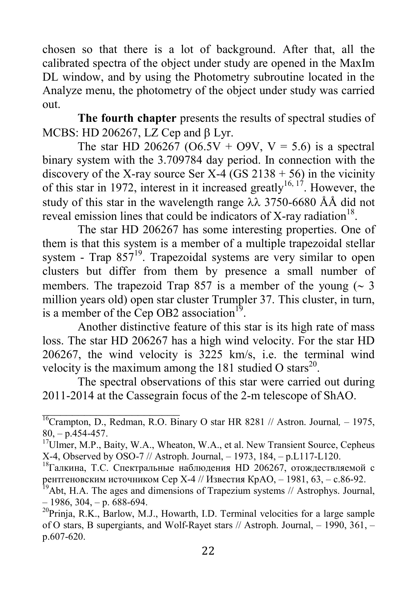chosen so that there is a lot of background. After that, all the calibrated spectra of the object under study are opened in the MaxIm DL window, and by using the Photometry subroutine located in the Analyze menu, the photometry of the object under study was carried out.

The fourth chapter presents the results of spectral studies of MCBS: HD 206267, LZ Cep and  $\beta$  Lyr.

The star HD 206267 (O6.5V + O9V, V = 5.6) is a spectral binary system with the 3.709784 day period. In connection with the discovery of the X-ray source Ser X-4 (GS 2138 + 56) in the vicinity of this star in 1972, interest in it increased greatly<sup>16, 17</sup>. However, the study of this star in the wavelength range  $\lambda \lambda$  3750-6680 ÅÅ did not reveal emission lines that could be indicators of X-ray radiation<sup>18</sup>.

The star HD 206267 has some interesting properties. One of them is that this system is a member of a multiple trapezoidal stellar system - Trap  $857^{19}$ . Trapezoidal systems are very similar to open clusters but differ from them by presence a small number of members. The trapezoid Trap 857 is a member of the young  $( \sim 3)$ million years old) open star cluster Trumpler 37. This cluster, in turn, is a member of the Cep OB2 association<sup>19</sup>.

Another distinctive feature of this star is its high rate of mass loss. The star HD 206267 has a high wind velocity. For the star HD 206267, the wind velocity is 3225 km/s, i.e. the terminal wind velocity is the maximum among the 181 studied O stars<sup>20</sup>.

The spectral observations of this star were carried out during 2011-2014 at the Cassegrain focus of the 2-m telescope of ShAO.

 $\mathcal{L}=\{1,2,3,4,5\}$ 

 $^{16}$ Crampton, D., Redman, R.O. Binary O star HR 8281 // Astron. Journal, -1975,  $80, -p.454 - 457.$ 

<sup>&</sup>lt;sup>17</sup>Ulmer, M.P., Baity, W.A., Wheaton, W.A., et al. New Transient Source, Cepheus X-4, Observed by OSO-7 // Astroph. Journal, – 1973, 184, – p.L117-L120.

<sup>&</sup>lt;sup>18</sup>Галкина, Т.С. Спектральные наблюдения HD 206267, отождествляемой с рентгеновским источником Cep Х-4 // Известия КрАО, – 1981, 63, – с.86-92.

<sup>&</sup>lt;sup>19</sup>Abt, H.A. The ages and dimensions of Trapezium systems  $//$  Astrophys. Journal,  $-1986, 304, -p. 688-694.$ 

 $^{20}$ Prinja, R.K., Barlow, M.J., Howarth, I.D. Terminal velocities for a large sample of O stars, B supergiants, and Wolf-Rayet stars // Astroph. Journal, – 1990, 361, – p.607-620.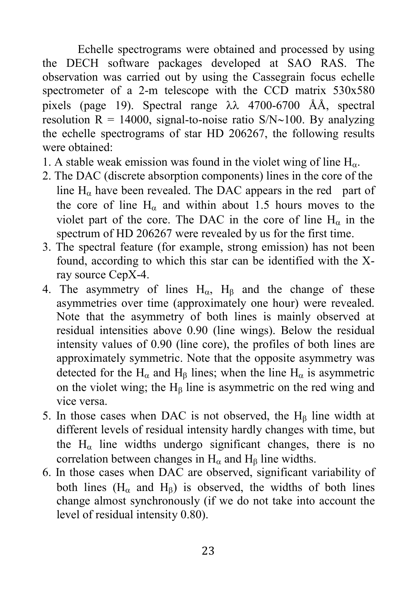Echelle spectrograms were obtained and processed by using the DECH software packages developed at SAO RAS. The observation was carried out by using the Cassegrain focus echelle spectrometer of a 2-m telescope with the CCD matrix 530x580 pixels (page 19). Spectral range  $\lambda\lambda$  4700-6700 ÅÅ, spectral resolution  $R = 14000$ , signal-to-noise ratio S/N~100. By analyzing the echelle spectrograms of star HD 206267, the following results were obtained:

- 1. A stable weak emission was found in the violet wing of line  $H_{\alpha}$ .
- 2. The DAC (discrete absorption components) lines in the core of the line  $H_{\alpha}$  have been revealed. The DAC appears in the red part of the core of line  $H<sub>a</sub>$  and within about 1.5 hours moves to the violet part of the core. The DAC in the core of line  $H_{\alpha}$  in the spectrum of HD 206267 were revealed by us for the first time.
- 3. The spectral feature (for example, strong emission) has not been found, according to which this star can be identified with the Xray source CepX-4.
- 4. The asymmetry of lines  $H_{\alpha}$ ,  $H_{\beta}$  and the change of these asymmetries over time (approximately one hour) were revealed. Note that the asymmetry of both lines is mainly observed at residual intensities above 0.90 (line wings). Below the residual intensity values of 0.90 (line core), the profiles of both lines are approximately symmetric. Note that the opposite asymmetry was detected for the H<sub> $\alpha$ </sub> and H<sub> $\beta$ </sub> lines; when the line H<sub> $\alpha$ </sub> is asymmetric on the violet wing; the  $H<sub>8</sub>$  line is asymmetric on the red wing and vice versa.
- 5. In those cases when DAC is not observed, the  $H<sub>B</sub>$  line width at different levels of residual intensity hardly changes with time, but the  $H_{\alpha}$  line widths undergo significant changes, there is no correlation between changes in  $H_{\alpha}$  and  $H_{\beta}$  line widths.
- 6. In those cases when DAC are observed, significant variability of both lines  $(H_{\alpha}$  and  $H_{\beta}$ ) is observed, the widths of both lines change almost synchronously (if we do not take into account the level of residual intensity 0.80).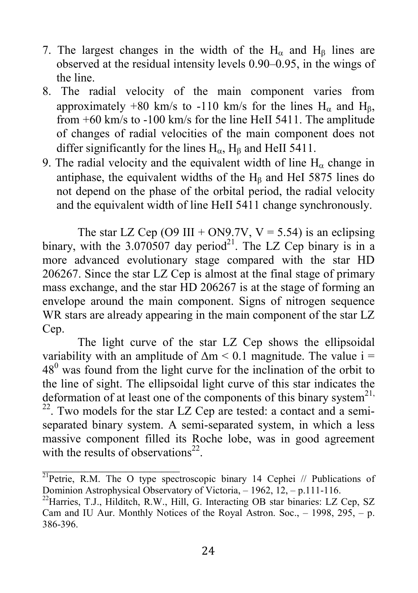- 7. The largest changes in the width of the  $H_{\alpha}$  and  $H_{\beta}$  lines are observed at the residual intensity levels 0.90–0.95, in the wings of the line.
- 8. The radial velocity of the main component varies from approximately +80 km/s to -110 km/s for the lines  $H_0$  and  $H_8$ , from +60 km/s to -100 km/s for the line HeII 5411. The amplitude of changes of radial velocities of the main component does not differ significantly for the lines  $H_{\alpha}$ ,  $H_{\beta}$  and HeII 5411.
- 9. The radial velocity and the equivalent width of line  $H_0$  change in antiphase, the equivalent widths of the  $H<sub>B</sub>$  and HeI 5875 lines do not depend on the phase of the orbital period, the radial velocity and the equivalent width of line HeII 5411 change synchronously.

The star LZ Cep (O9 III + ON9.7V,  $V = 5.54$ ) is an eclipsing binary, with the  $3.070507$  day period<sup>21</sup>. The LZ Cep binary is in a more advanced evolutionary stage compared with the star HD 206267. Since the star LZ Cep is almost at the final stage of primary mass exchange, and the star HD 206267 is at the stage of forming an envelope around the main component. Signs of nitrogen sequence WR stars are already appearing in the main component of the star LZ Cep.

The light curve of the star LZ Cep shows the ellipsoidal variability with an amplitude of  $\Delta m \leq 0.1$  magnitude. The value i =  $48<sup>0</sup>$  was found from the light curve for the inclination of the orbit to the line of sight. The ellipsoidal light curve of this star indicates the deformation of at least one of the components of this binary system<sup>21,</sup>  $22$ . Two models for the star LZ Cep are tested: a contact and a semiseparated binary system. A semi-separated system, in which a less massive component filled its Roche lobe, was in good agreement with the results of observations<sup>22</sup>.

 $\mathcal{L}=\{1,2,3,4,5\}$ 

<sup>&</sup>lt;sup>21</sup>Petrie, R.M. The O type spectroscopic binary 14 Cephei // Publications of Dominion Astrophysical Observatory of Victoria, – 1962, 12, – p.111-116.

<sup>&</sup>lt;sup>22</sup> Harries, T.J., Hilditch, R.W., Hill, G. Interacting OB star binaries: LZ Cep, SZ Cam and IU Aur. Monthly Notices of the Royal Astron. Soc., – 1998, 295, – p. 386-396.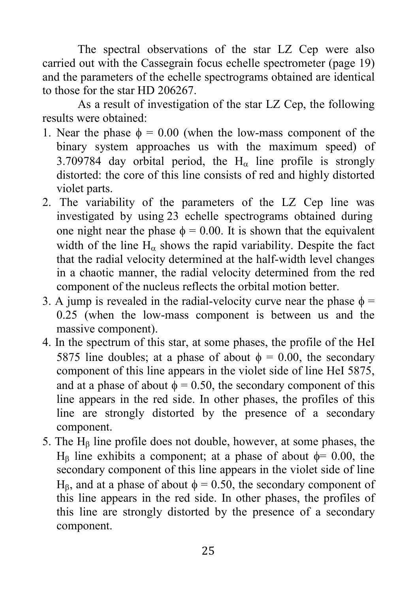The spectral observations of the star LZ Cep were also carried out with the Cassegrain focus echelle spectrometer (page 19) and the parameters of the echelle spectrograms obtained are identical to those for the star HD 206267.

As a result of investigation of the star LZ Cep, the following results were obtained:

- 1. Near the phase  $\phi = 0.00$  (when the low-mass component of the binary system approaches us with the maximum speed) of 3.709784 day orbital period, the  $H<sub>0</sub>$  line profile is strongly distorted: the core of this line consists of red and highly distorted violet parts.
- 2. The variability of the parameters of the LZ Cep line was investigated by using 23 echelle spectrograms obtained during one night near the phase  $\phi = 0.00$ . It is shown that the equivalent width of the line  $H_{\alpha}$  shows the rapid variability. Despite the fact that the radial velocity determined at the half-width level changes in a chaotic manner, the radial velocity determined from the red component of the nucleus reflects the orbital motion better.
- 3. A jump is revealed in the radial-velocity curve near the phase  $\phi$  = 0.25 (when the low-mass component is between us and the massive component).
- 4. In the spectrum of this star, at some phases, the profile of the HeI 5875 line doubles; at a phase of about  $\phi = 0.00$ , the secondary component of this line appears in the violet side of line HeI 5875, and at a phase of about  $\phi = 0.50$ , the secondary component of this line appears in the red side. In other phases, the profiles of this line are strongly distorted by the presence of a secondary component.
- 5. The  $H<sub>B</sub>$  line profile does not double, however, at some phases, the  $H<sub>β</sub>$  line exhibits a component; at a phase of about  $\phi$ = 0.00, the secondary component of this line appears in the violet side of line H<sub>B</sub>, and at a phase of about  $\phi = 0.50$ , the secondary component of this line appears in the red side. In other phases, the profiles of this line are strongly distorted by the presence of a secondary component.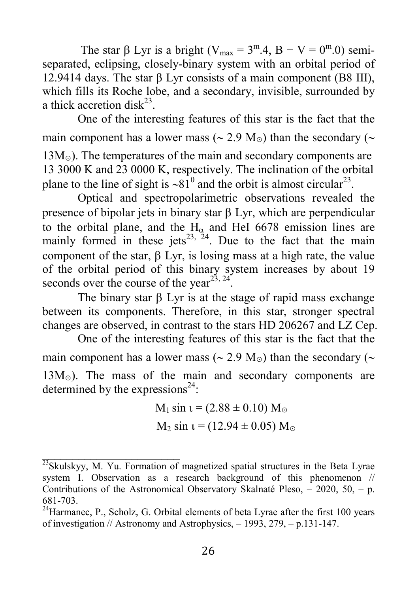The star  $\beta$  Lyr is a bright (V<sub>max</sub> = 3<sup>m</sup>.4, B – V = 0<sup>m</sup>.0) semiseparated, eclipsing, closely-binary system with an orbital period of 12.9414 days. The star β Lyr consists of a main component (B8 III), which fills its Roche lobe, and a secondary, invisible, surrounded by a thick accretion disk<sup>23</sup>.

One of the interesting features of this star is the fact that the main component has a lower mass ( $\sim$  2.9 M<sub>☉</sub>) than the secondary ( $\sim$  $13M<sub>o</sub>$ ). The temperatures of the main and secondary components are 13 3000 K and 23 0000 K, respectively. The inclination of the orbital plane to the line of sight is  $\sim 81^0$  and the orbit is almost circular<sup>23</sup>.

Optical and spectropolarimetric observations revealed the presence of bipolar jets in binary star  $\beta$  Lyr, which are perpendicular to the orbital plane, and the  $H_{\alpha}$  and HeI 6678 emission lines are mainly formed in these jets<sup>23, 24</sup>. Due to the fact that the main component of the star,  $\beta$  Lyr, is losing mass at a high rate, the value of the orbital period of this binary system increases by about 19 seconds over the course of the year<sup>23, 24</sup>.

The binary star  $\beta$  Lyr is at the stage of rapid mass exchange between its components. Therefore, in this star, stronger spectral changes are observed, in contrast to the stars HD 206267 and LZ Cep.

One of the interesting features of this star is the fact that the main component has a lower mass ( $\sim$  2.9 M<sub>☉</sub>) than the secondary ( $\sim$ 13M⊙). The mass of the main and secondary components are determined by the expressions<sup>24</sup>:

> $M_1 \sin t = (2.88 \pm 0.10) M_{\odot}$  $M_2 \sin t = (12.94 \pm 0.05) M_{\odot}$

 $\mathcal{L}=\{1,2,3,4,5\}$ 

 $^{23}$ Skulskyy, M. Yu. Formation of magnetized spatial structures in the Beta Lyrae system I. Observation as a research background of this phenomenon // Contributions of the Astronomical Observatory Skalnaté Pleso, – 2020, 50, – p. 681-703.

 $24$ Harmanec, P., Scholz, G. Orbital elements of beta Lyrae after the first 100 years of investigation // Astronomy and Astrophysics, – 1993, 279, – p.131-147.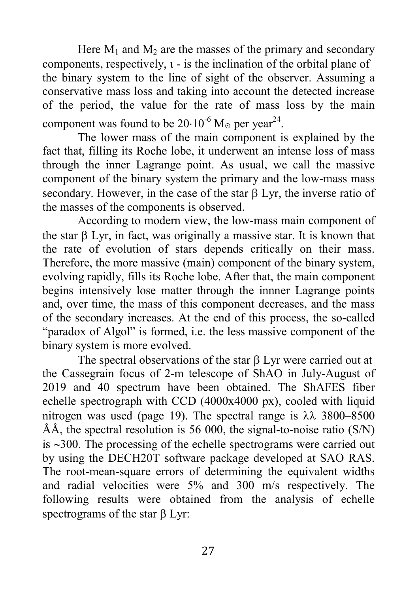Here  $M_1$  and  $M_2$  are the masses of the primary and secondary components, respectively,  $i - is$  the inclination of the orbital plane of the binary system to the line of sight of the observer. Assuming a conservative mass loss and taking into account the detected increase of the period, the value for the rate of mass loss by the main component was found to be  $20·10^{-6}$  M<sub>☉</sub> per year<sup>24</sup>.

The lower mass of the main component is explained by the fact that, filling its Roche lobe, it underwent an intense loss of mass through the inner Lagrange point. As usual, we call the massive component of the binary system the primary and the low-mass mass secondary. However, in the case of the star  $\beta$  Lyr, the inverse ratio of the masses of the components is observed.

According to modern view, the low-mass main component of the star  $\beta$  Lyr, in fact, was originally a massive star. It is known that the rate of evolution of stars depends critically on their mass. Therefore, the more massive (main) component of the binary system, evolving rapidly, fills its Roche lobe. After that, the main component begins intensively lose matter through the innner Lagrange points and, over time, the mass of this component decreases, and the mass of the secondary increases. At the end of this process, the so-called "paradox of Algol" is formed, i.e. the less massive component of the binary system is more evolved.

The spectral observations of the star  $\beta$  Lyr were carried out at the Cassegrain focus of 2-m telescope of ShAO in July-August of 2019 and 40 spectrum have been obtained. The ShAFES fiber echelle spectrograph with CCD (4000x4000 px), cooled with liquid nitrogen was used (page 19). The spectral range is  $\lambda \lambda$  3800–8500 ÅÅ, the spectral resolution is 56 000, the signal-to-noise ratio (S/N) is  $\sim$ 300. The processing of the echelle spectrograms were carried out by using the DECH20T software package developed at SAO RAS. The root-mean-square errors of determining the equivalent widths and radial velocities were 5% and 300 m/s respectively. The following results were obtained from the analysis of echelle spectrograms of the star  $\beta$  Lyr: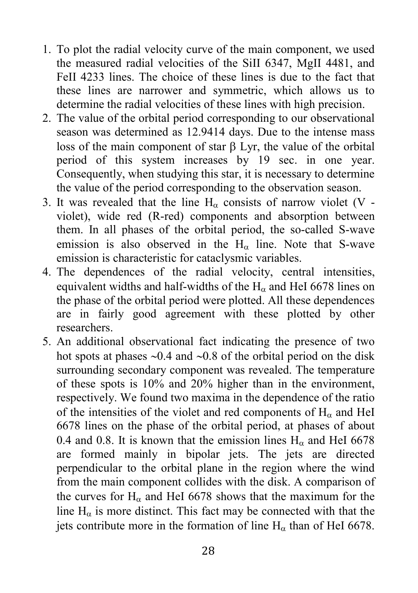- 1. To plot the radial velocity curve of the main component, we used the measured radial velocities of the SiII 6347, MgII 4481, and FeII 4233 lines. The choice of these lines is due to the fact that these lines are narrower and symmetric, which allows us to determine the radial velocities of these lines with high precision.
- 2. The value of the orbital period corresponding to our observational season was determined as 12.9414 days. Due to the intense mass loss of the main component of star  $\beta$  Lyr, the value of the orbital period of this system increases by 19 sec. in one year. Consequently, when studying this star, it is necessary to determine the value of the period corresponding to the observation season.
- 3. It was revealed that the line  $H_{\alpha}$  consists of narrow violet (V violet), wide red (R-red) components and absorption between them. In all phases of the orbital period, the so-called S-wave emission is also observed in the  $H<sub>\alpha</sub>$  line. Note that S-wave emission is characteristic for cataclysmic variables.
- 4. The dependences of the radial velocity, central intensities, equivalent widths and half-widths of the  $H_{\alpha}$  and HeI 6678 lines on the phase of the orbital period were plotted. All these dependences are in fairly good agreement with these plotted by other researchers.
- 5. An additional observational fact indicating the presence of two hot spots at phases  $\sim 0.4$  and  $\sim 0.8$  of the orbital period on the disk surrounding secondary component was revealed. The temperature of these spots is 10% and 20% higher than in the environment, respectively. We found two maxima in the dependence of the ratio of the intensities of the violet and red components of  $H<sub>\alpha</sub>$  and HeI 6678 lines on the phase of the orbital period, at phases of about 0.4 and 0.8. It is known that the emission lines  $H<sub>0</sub>$  and HeI 6678 are formed mainly in bipolar jets. The jets are directed perpendicular to the orbital plane in the region where the wind from the main component collides with the disk. A comparison of the curves for  $H_{\alpha}$  and HeI 6678 shows that the maximum for the line  $H_{\alpha}$  is more distinct. This fact may be connected with that the jets contribute more in the formation of line  $H_{\alpha}$  than of HeI 6678.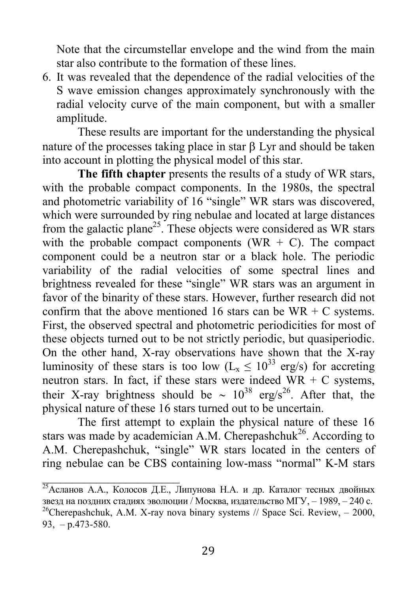Note that the circumstellar envelope and the wind from the main star also contribute to the formation of these lines.

6. It was revealed that the dependence of the radial velocities of the S wave emission changes approximately synchronously with the radial velocity curve of the main component, but with a smaller amplitude.

These results are important for the understanding the physical nature of the processes taking place in star  $\beta$  Lyr and should be taken into account in plotting the physical model of this star.

The fifth chapter presents the results of a study of WR stars, with the probable compact components. In the 1980s, the spectral and photometric variability of 16 "single" WR stars was discovered, which were surrounded by ring nebulae and located at large distances from the galactic plane<sup>25</sup>. These objects were considered as WR stars with the probable compact components (WR  $+$  C). The compact component could be a neutron star or a black hole. The periodic variability of the radial velocities of some spectral lines and brightness revealed for these "single" WR stars was an argument in favor of the binarity of these stars. However, further research did not confirm that the above mentioned 16 stars can be  $WR + C$  systems. First, the observed spectral and photometric periodicities for most of these objects turned out to be not strictly periodic, but quasiperiodic. On the other hand, X-ray observations have shown that the X-ray luminosity of these stars is too low ( $L_x \le 10^{33}$  erg/s) for accreting neutron stars. In fact, if these stars were indeed  $WR + C$  systems, their X-ray brightness should be  $\sim 10^{38}$  erg/s<sup>26</sup>. After that, the physical nature of these 16 stars turned out to be uncertain.

The first attempt to explain the physical nature of these 16 stars was made by academician A.M. Cherepashchuk<sup>26</sup>. According to A.M. Cherepashchuk, "single" WR stars located in the centers of ring nebulae can be CBS containing low-mass "normal" K-M stars

 $\frac{25}{25}$ Асланов А.А., Колосов Д.Е., Липунова Н.А. и др. Каталог тесных двойных звезд на поздних стадиях эволюции / Москва, издательство МГУ, – 1989, – 240 с. <sup>26</sup>Cherepashchuk, A.M. X-ray nova binary systems // Space Sci. Review,  $-2000$ , 93,  $-$  p.473-580.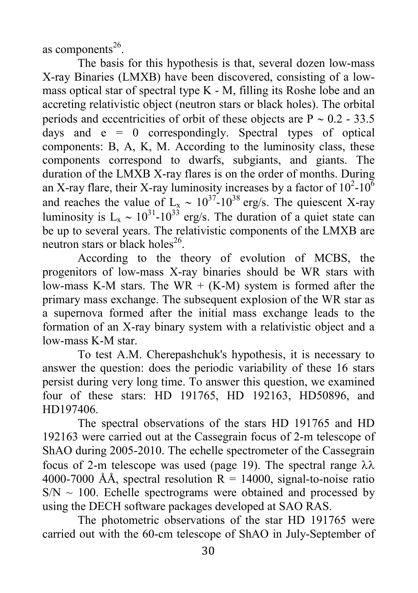as components $^{26}$ .

The basis for this hypothesis is that, several dozen low-mass X-ray Binaries (LMXB) have been discovered, consisting of a lowmass optical star of spectral type K - M, filling its Roshe lobe and an accreting relativistic object (neutron stars or black holes). The orbital periods and eccentricities of orbit of these objects are  $P \sim 0.2 - 33.5$ days and  $e = 0$  correspondingly. Spectral types of optical components: B, A, K, M. According to the luminosity class, these components correspond to dwarfs, subgiants, and giants. The duration of the LMXB X-ray flares is on the order of months. During an X-ray flare, their X-ray luminosity increases by a factor of  $10^2$ - $10^6$ and reaches the value of  $L_x \sim 10^{37}$ -10<sup>38</sup> erg/s. The quiescent X-ray luminosity is  $L_x \sim 10^{31}$ -10<sup>33</sup> erg/s. The duration of a quiet state can be up to several years. The relativistic components of the LMXB are neutron stars or black holes<sup>26</sup>.

According to the theory of evolution of MCBS, the progenitors of low-mass X-ray binaries should be WR stars with low-mass K-M stars. The WR  $+$  (K-M) system is formed after the primary mass exchange. The subsequent explosion of the WR star as a supernova formed after the initial mass exchange leads to the formation of an X-ray binary system with a relativistic object and a low-mass K-M star.

To test A.M. Cherepashchuk's hypothesis, it is necessary to answer the question: does the periodic variability of these 16 stars persist during very long time. To answer this question, we examined four of these stars: HD 191765, HD 192163, HD50896, and HD197406.

The spectral observations of the stars HD 191765 and HD 192163 were carried out at the Cassegrain focus of 2-m telescope of ShAO during 2005-2010. The echelle spectrometer of the Cassegrain focus of 2-m telescope was used (page 19). The spectral range  $\lambda \lambda$ 4000-7000 ÅÅ, spectral resolution  $R = 14000$ , signal-to-noise ratio  $SN \sim 100$ . Echelle spectrograms were obtained and processed by using the DECH software packages developed at SAO RAS.

The photometric observations of the star HD 191765 were carried out with the 60-cm telescope of ShAO in July-September of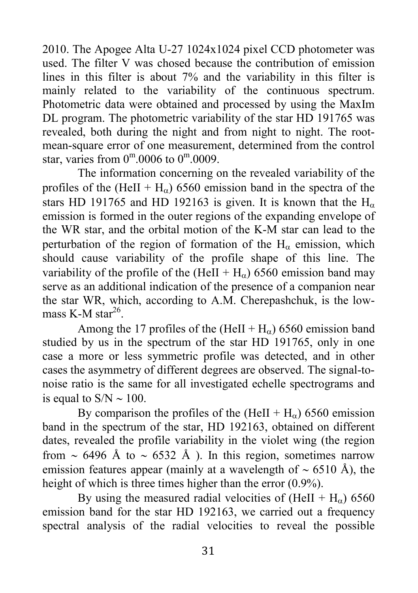2010. The Apogee Alta U-27 1024x1024 pixel CCD photometer was used. The filter V was chosed because the contribution of emission lines in this filter is about 7% and the variability in this filter is mainly related to the variability of the continuous spectrum. Photometric data were obtained and processed by using the MaxIm DL program. The photometric variability of the star HD 191765 was revealed, both during the night and from night to night. The rootmean-square error of one measurement, determined from the control star, varies from  $0^{\text{m}}.0006$  to  $0^{\text{m}}.0009$ .

The information concerning on the revealed variability of the profiles of the (HeII + H<sub>a</sub>) 6560 emission band in the spectra of the stars HD 191765 and HD 192163 is given. It is known that the  $H_{\alpha}$ emission is formed in the outer regions of the expanding envelope of the WR star, and the orbital motion of the K-M star can lead to the perturbation of the region of formation of the  $H<sub>\alpha</sub>$  emission, which should cause variability of the profile shape of this line. The variability of the profile of the  $(HeII + H<sub>o</sub>)$  6560 emission band may serve as an additional indication of the presence of a companion near the star WR, which, according to A.M. Cherepashchuk, is the lowmass K-M star $^{26}$ .

Among the 17 profiles of the (HeII +  $H_{\alpha}$ ) 6560 emission band studied by us in the spectrum of the star HD 191765, only in one case a more or less symmetric profile was detected, and in other cases the asymmetry of different degrees are observed. The signal-tonoise ratio is the same for all investigated echelle spectrograms and is equal to  $S/N \sim 100$ .

By comparison the profiles of the  $(HeII + H<sub>0</sub>)$  6560 emission band in the spectrum of the star, HD 192163, obtained on different dates, revealed the profile variability in the violet wing (the region from  $\sim$  6496 Å to  $\sim$  6532 Å ). In this region, sometimes narrow emission features appear (mainly at a wavelength of  $\sim$  6510 Å), the height of which is three times higher than the error  $(0.9\%)$ .

By using the measured radial velocities of  $(HeII + H<sub>o</sub>)$  6560 emission band for the star HD 192163, we carried out a frequency spectral analysis of the radial velocities to reveal the possible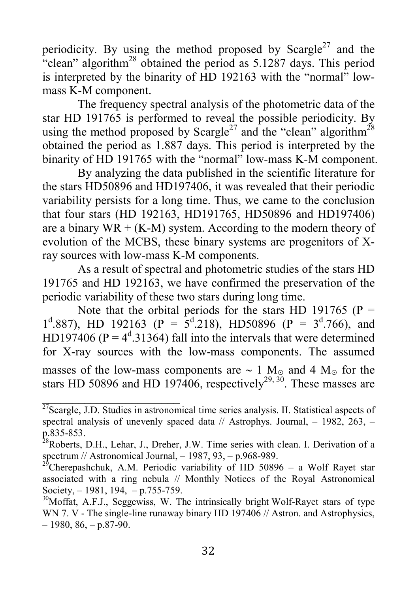periodicity. By using the method proposed by Scargle<sup>27</sup> and the "clean" algorithm<sup>28</sup> obtained the period as  $5.1287$  days. This period is interpreted by the binarity of HD 192163 with the "normal" lowmass K-M component.

The frequency spectral analysis of the photometric data of the star HD 191765 is performed to reveal the possible periodicity. By using the method proposed by Scargle<sup>27</sup> and the "clean" algorithm<sup>28</sup> obtained the period as 1.887 days. This period is interpreted by the binarity of HD 191765 with the "normal" low-mass K-M component.

By analyzing the data published in the scientific literature for the stars HD50896 and HD197406, it was revealed that their periodic variability persists for a long time. Thus, we came to the conclusion that four stars (HD 192163, HD191765, HD50896 and HD197406) are a binary  $WR + (K-M)$  system. According to the modern theory of evolution of the MCBS, these binary systems are progenitors of Xray sources with low-mass K-M components.

As a result of spectral and photometric studies of the stars HD 191765 and HD 192163, we have confirmed the preservation of the periodic variability of these two stars during long time.

Note that the orbital periods for the stars HD 191765 ( $P =$  $1^{\text{d}}.887$ ), HD 192163 (P =  $5^{\text{d}}.218$ ), HD50896 (P =  $3^{\text{d}}.766$ ), and HD197406 ( $P = 4^d$ .31364) fall into the intervals that were determined for X-ray sources with the low-mass components. The assumed masses of the low-mass components are  $\sim 1 \text{ M}_{\odot}$  and 4 M<sub>☉</sub> for the stars HD 50896 and HD 197406, respectively<sup>29, 30</sup>. These masses are

 $\mathcal{L}=\{1,2,3,4,5\}$ 

 $\frac{27}{27}$ Scargle, J.D. Studies in astronomical time series analysis. II. Statistical aspects of spectral analysis of unevenly spaced data  $//$  Astrophys. Journal,  $-1982$ ,  $263$ ,  $$ р.835-853.

<sup>&</sup>lt;sup>28</sup>Roberts, D.H., Lehar, J., Dreher, J.W. Time series with clean. I. Derivation of a spectrum // Astronomical Journal, – 1987, 93, – p.968-989.

<sup>&</sup>lt;sup>29</sup>Cherepashchuk, A.M. Periodic variability of HD 50896 - a Wolf Rayet star associated with a ring nebula // Monthly Notices of the Royal Astronomical Society,  $-1981, 194, -p.755-759$ .

<sup>&</sup>lt;sup>30</sup>Moffat, A.F.J., Seggewiss, W. The intrinsically bright Wolf-Rayet stars of type WN 7. V - The single-line runaway binary HD 197406 // Astron. and Astrophysics,  $-1980, 86, -p.87-90.$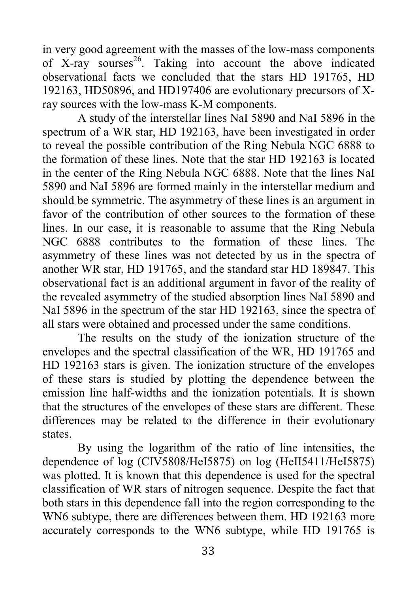in very good agreement with the masses of the low-mass components of X-ray sourses<sup>26</sup>. Taking into account the above indicated observational facts we concluded that the stars HD 191765, HD 192163, HD50896, and HD197406 are evolutionary precursors of Xray sources with the low-mass K-M components.

A study of the interstellar lines NaI 5890 and NaI 5896 in the spectrum of a WR star, HD 192163, have been investigated in order to reveal the possible contribution of the Ring Nebula NGC 6888 to the formation of these lines. Note that the star HD 192163 is located in the center of the Ring Nebula NGC 6888. Note that the lines NaI 5890 and NaI 5896 are formed mainly in the interstellar medium and should be symmetric. The asymmetry of these lines is an argument in favor of the contribution of other sources to the formation of these lines. In our case, it is reasonable to assume that the Ring Nebula NGC 6888 contributes to the formation of these lines. The asymmetry of these lines was not detected by us in the spectra of another WR star, HD 191765, and the standard star HD 189847. This observational fact is an additional argument in favor of the reality of the revealed asymmetry of the studied absorption lines NaI 5890 and NaI 5896 in the spectrum of the star HD 192163, since the spectra of all stars were obtained and processed under the same conditions.

The results on the study of the ionization structure of the envelopes and the spectral classification of the WR, HD 191765 and HD 192163 stars is given. The ionization structure of the envelopes of these stars is studied by plotting the dependence between the emission line half-widths and the ionization potentials. It is shown that the structures of the envelopes of these stars are different. These differences may be related to the difference in their evolutionary states.

By using the logarithm of the ratio of line intensities, the dependence of log (CIV5808/HeI5875) on log (HeII5411/HeI5875) was plotted. It is known that this dependence is used for the spectral classification of WR stars of nitrogen sequence. Despite the fact that both stars in this dependence fall into the region corresponding to the WN6 subtype, there are differences between them. HD 192163 more accurately corresponds to the WN6 subtype, while HD 191765 is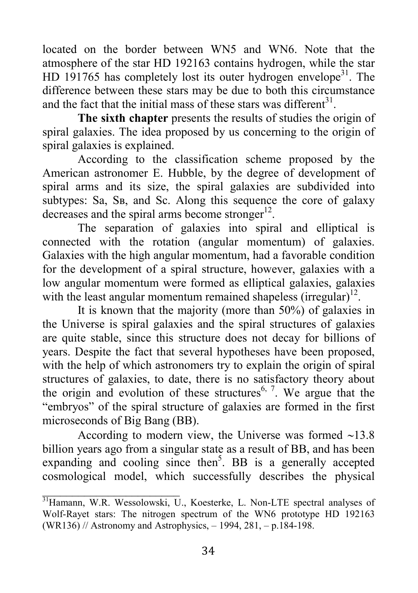located on the border between WN5 and WN6. Note that the atmosphere of the star HD 192163 contains hydrogen, while the star HD 191765 has completely lost its outer hydrogen envelope<sup>31</sup>. The difference between these stars may be due to both this circumstance and the fact that the initial mass of these stars was different<sup>31</sup>.

The sixth chapter presents the results of studies the origin of spiral galaxies. The idea proposed by us concerning to the origin of spiral galaxies is explained.

According to the classification scheme proposed by the American astronomer E. Hubble, by the degree of development of spiral arms and its size, the spiral galaxies are subdivided into subtypes: Sa, Sв, and Sс. Along this sequence the core of galaxy decreases and the spiral arms become stronger $^{12}$ .

The separation of galaxies into spiral and elliptical is connected with the rotation (angular momentum) of galaxies. Galaxies with the high angular momentum, had a favorable condition for the development of a spiral structure, however, galaxies with a low angular momentum were formed as elliptical galaxies, galaxies with the least angular momentum remained shapeless (irregular)<sup>12</sup>.

It is known that the majority (more than 50%) of galaxies in the Universe is spiral galaxies and the spiral structures of galaxies are quite stable, since this structure does not decay for billions of years. Despite the fact that several hypotheses have been proposed, with the help of which astronomers try to explain the origin of spiral structures of galaxies, to date, there is no satisfactory theory about the origin and evolution of these structures<sup>6, 7</sup>. We argue that the "embryos" of the spiral structure of galaxies are formed in the first microseconds of Big Bang (BB).

According to modern view, the Universe was formed  $\sim$ 13.8 billion years ago from a singular state as a result of BB, and has been expanding and cooling since then<sup>5</sup>. BB is a generally accepted cosmological model, which successfully describes the physical

 $\mathcal{L}=\{1,2,3,4,5\}$ 

<sup>&</sup>lt;sup>31</sup>Hamann, W.R. Wessolowski, U., Koesterke, L. Non-LTE spectral analyses of Wolf-Rayet stars: The nitrogen spectrum of the WN6 prototype HD 192163 (WR136) // Astronomy and Astrophysics, – 1994, 281, – p.184-198.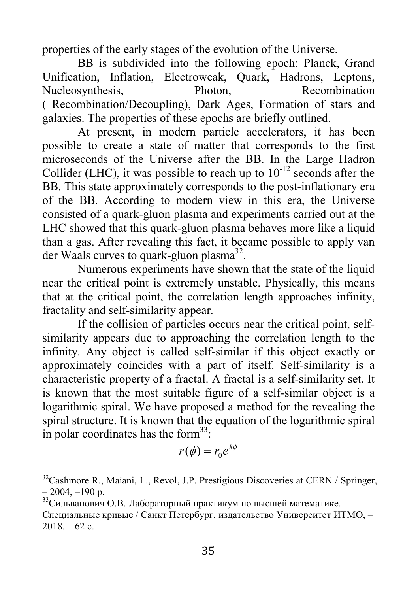properties of the early stages of the evolution of the Universe.

BB is subdivided into the following epoch: Planck, Grand Unification, Inflation, Electroweak, Quark, Hadrons, Leptons, Nucleosynthesis, Photon, Recombination ( Recombination/Decoupling), Dark Ages, Formation of stars and galaxies. The properties of these epochs are briefly outlined.

At present, in modern particle accelerators, it has been possible to create a state of matter that corresponds to the first microseconds of the Universe after the BB. In the Large Hadron Collider (LHC), it was possible to reach up to  $10^{-12}$  seconds after the BB. This state approximately corresponds to the post-inflationary era of the BB. According to modern view in this era, the Universe consisted of a quark-gluon plasma and experiments carried out at the LHC showed that this quark-gluon plasma behaves more like a liquid than a gas. After revealing this fact, it became possible to apply van der Waals curves to quark-gluon plasma<sup>32</sup>.

Numerous experiments have shown that the state of the liquid near the critical point is extremely unstable. Physically, this means that at the critical point, the correlation length approaches infinity, fractality and self-similarity appear.

If the collision of particles occurs near the critical point, selfsimilarity appears due to approaching the correlation length to the infinity. Any object is called self-similar if this object exactly or approximately coincides with a part of itself. Self-similarity is a characteristic property of a fractal. A fractal is a self-similarity set. It is known that the most suitable figure of a self-similar object is a logarithmic spiral. We have proposed a method for the revealing the spiral structure. It is known that the equation of the logarithmic spiral in polar coordinates has the form $^{33}$ :

$$
r(\phi) = r_0 e^{k\phi}
$$

 $32$ Cashmore R., Maiani, L., Revol, J.P. Prestigious Discoveries at CERN / Springer,  $-2004, -190$  p.

<sup>33</sup>Сильванович О.В. Лабораторный практикум по высшей математике.

Специальные кривые / Санкт Петербург, издательство Университет ИТМО, –  $2018. - 62$  c.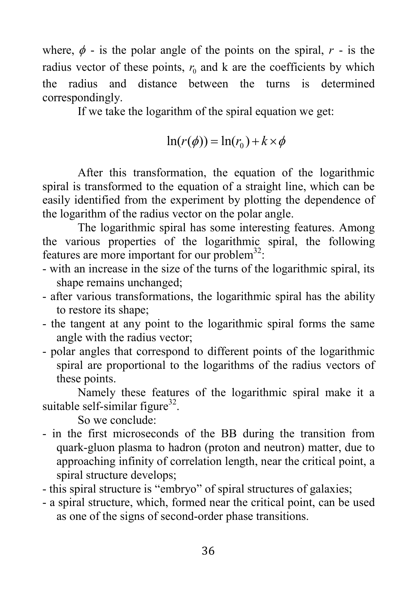where,  $\phi$  - is the polar angle of the points on the spiral,  $r$  - is the radius vector of these points,  $r_0$  and k are the coefficients by which the radius and distance between the turns is determined correspondingly.

If we take the logarithm of the spiral equation we get:

$$
\ln(r(\phi)) = \ln(r_0) + k \times \phi
$$

After this transformation, the equation of the logarithmic spiral is transformed to the equation of a straight line, which can be easily identified from the experiment by plotting the dependence of the logarithm of the radius vector on the polar angle.

The logarithmic spiral has some interesting features. Among the various properties of the logarithmic spiral, the following features are more important for our problem<sup>32</sup>:

- with an increase in the size of the turns of the logarithmic spiral, its shape remains unchanged;
- after various transformations, the logarithmic spiral has the ability to restore its shape;
- the tangent at any point to the logarithmic spiral forms the same angle with the radius vector;
- polar angles that correspond to different points of the logarithmic spiral are proportional to the logarithms of the radius vectors of these points.

Namely these features of the logarithmic spiral make it a suitable self-similar figure $32$ .

So we conclude:

- in the first microseconds of the BB during the transition from quark-gluon plasma to hadron (proton and neutron) matter, due to approaching infinity of correlation length, near the critical point, a spiral structure develops;
- this spiral structure is "embryo" of spiral structures of galaxies;
- a spiral structure, which, formed near the critical point, can be used as one of the signs of second-order phase transitions.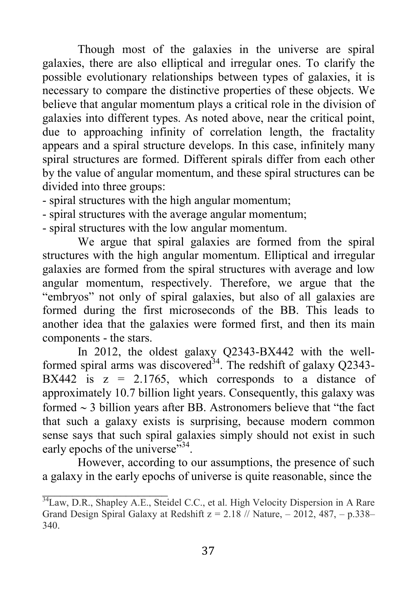Though most of the galaxies in the universe are spiral galaxies, there are also elliptical and irregular ones. To clarify the possible evolutionary relationships between types of galaxies, it is necessary to compare the distinctive properties of these objects. We believe that angular momentum plays a critical role in the division of galaxies into different types. As noted above, near the critical point, due to approaching infinity of correlation length, the fractality appears and a spiral structure develops. In this case, infinitely many spiral structures are formed. Different spirals differ from each other by the value of angular momentum, and these spiral structures can be divided into three groups:

- spiral structures with the high angular momentum;
- spiral structures with the average angular momentum;
- spiral structures with the low angular momentum.

We argue that spiral galaxies are formed from the spiral structures with the high angular momentum. Elliptical and irregular galaxies are formed from the spiral structures with average and low angular momentum, respectively. Therefore, we argue that the "embryos" not only of spiral galaxies, but also of all galaxies are formed during the first microseconds of the BB. This leads to another idea that the galaxies were formed first, and then its main components - the stars.

In 2012, the oldest galaxy Q2343-BX442 with the wellformed spiral arms was discovered<sup>34</sup>. The redshift of galaxy Q2343-BX442 is  $z = 2.1765$ , which corresponds to a distance of approximately 10.7 billion light years. Consequently, this galaxy was formed  $\sim$  3 billion years after BB. Astronomers believe that "the fact" that such a galaxy exists is surprising, because modern common sense says that such spiral galaxies simply should not exist in such early epochs of the universe"<sup>34</sup>.

However, according to our assumptions, the presence of such a galaxy in the early epochs of universe is quite reasonable, since the

\_\_\_\_\_\_\_\_\_\_\_\_\_\_\_\_\_\_\_\_\_

<sup>&</sup>lt;sup>34</sup>Law, D.R., Shapley A.E., Steidel C.C., et al. High Velocity Dispersion in A Rare Grand Design Spiral Galaxy at Redshift  $z = 2.18$  // Nature,  $- 2012$ , 487,  $- p.338 - p.338$ 340.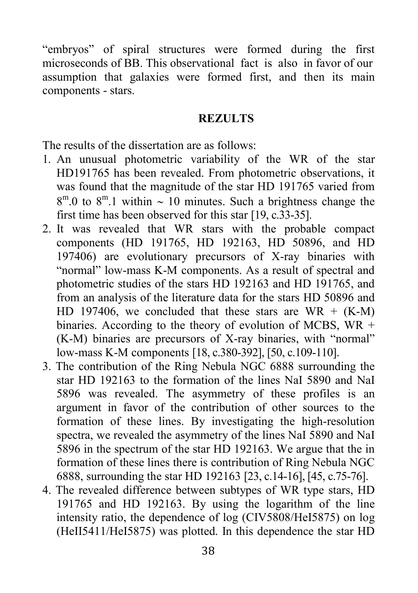"embryos" of spiral structures were formed during the first microseconds of BB. This observational fact is also in favor of our assumption that galaxies were formed first, and then its main components - stars.

#### **REZULTS**

The results of the dissertation are as follows:

- 1. An unusual photometric variability of the WR of the star HD191765 has been revealed. From photometric observations, it was found that the magnitude of the star HD 191765 varied from  $8^{\text{m}}.0$  to  $8^{\text{m}}.1$  within  $\sim 10$  minutes. Such a brightness change the first time has been observed for this star [19, с.33-35].
- 2. It was revealed that WR stars with the probable compact components (HD 191765, HD 192163, HD 50896, and HD 197406) are evolutionary precursors of X-ray binaries with "normal" low-mass K-M components. As a result of spectral and photometric studies of the stars HD 192163 and HD 191765, and from an analysis of the literature data for the stars HD 50896 and HD 197406, we concluded that these stars are  $WR + (K-M)$ binaries. According to the theory of evolution of MCBS,  $WR +$ (K-M) binaries are precursors of X-ray binaries, with "normal" low-mass K-M components [18, с.380-392], [50, c.109-110].
- 3. The contribution of the Ring Nebula NGC 6888 surrounding the star HD 192163 to the formation of the lines NaI 5890 and NaI 5896 was revealed. The asymmetry of these profiles is an argument in favor of the contribution of other sources to the formation of these lines. By investigating the high-resolution spectra, we revealed the asymmetry of the lines NaI 5890 and NaI 5896 in the spectrum of the star HD 192163. We argue that the in formation of these lines there is contribution of Ring Nebula NGC 6888, surrounding the star HD 192163 [23, c.14-16], [45, c.75-76].
- 4. The revealed difference between subtypes of WR type stars, HD 191765 and HD 192163. By using the logarithm of the line intensity ratio, the dependence of log (CIV5808/HeI5875) on log (HeII5411/HeI5875) was plotted. In this dependence the star HD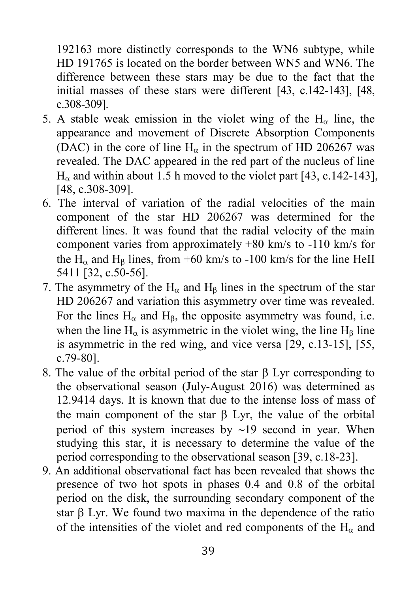192163 more distinctly corresponds to the WN6 subtype, while HD 191765 is located on the border between WN5 and WN6. The difference between these stars may be due to the fact that the initial masses of these stars were different [43, c.142-143], [48, c.308-309].

- 5. A stable weak emission in the violet wing of the  $H_{\alpha}$  line, the appearance and movement of Discrete Absorption Components (DAC) in the core of line  $H_{\alpha}$  in the spectrum of HD 206267 was revealed. The DAC appeared in the red part of the nucleus of line  $H_{\alpha}$  and within about 1.5 h moved to the violet part [43, c.142-143], [48, c.308-309].
- 6. The interval of variation of the radial velocities of the main component of the star HD 206267 was determined for the different lines. It was found that the radial velocity of the main component varies from approximately +80 km/s to -110 km/s for the H<sub> $\alpha$ </sub> and H<sub>B</sub> lines, from +60 km/s to -100 km/s for the line HeII 5411 [32, c.50-56].
- 7. The asymmetry of the  $H_{\alpha}$  and  $H_{\beta}$  lines in the spectrum of the star HD 206267 and variation this asymmetry over time was revealed. For the lines  $H_{\alpha}$  and  $H_{\beta}$ , the opposite asymmetry was found, i.e. when the line  $H_{\alpha}$  is asymmetric in the violet wing, the line  $H_{\beta}$  line is asymmetric in the red wing, and vice versa [29, c.13-15], [55, c.79-80].
- 8. The value of the orbital period of the star  $\beta$  Lyr corresponding to the observational season (July-August 2016) was determined as 12.9414 days. It is known that due to the intense loss of mass of the main component of the star  $\beta$  Lyr, the value of the orbital period of this system increases by  $\sim$ 19 second in year. When studying this star, it is necessary to determine the value of the period corresponding to the observational season [39, c.18-23].
- 9. An additional observational fact has been revealed that shows the presence of two hot spots in phases 0.4 and 0.8 of the orbital period on the disk, the surrounding secondary component of the star  $\beta$  Lyr. We found two maxima in the dependence of the ratio of the intensities of the violet and red components of the  $H_{\alpha}$  and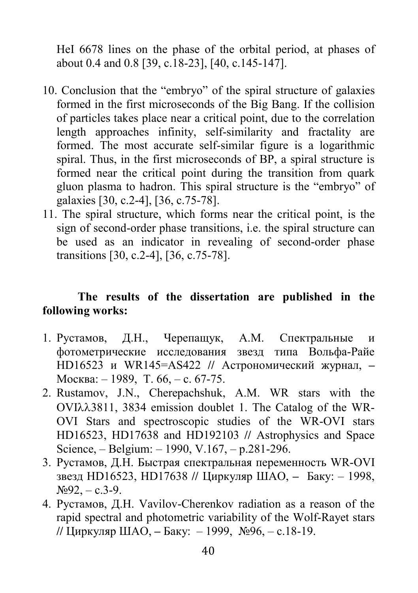HeI 6678 lines on the phase of the orbital period, at phases of about 0.4 and 0.8 [39, c.18-23], [40, c.145-147].

- 10. Conclusion that the "embryo" of the spiral structure of galaxies formed in the first microseconds of the Big Bang. If the collision of particles takes place near a critical point, due to the correlation length approaches infinity, self-similarity and fractality are formed. The most accurate self-similar figure is a logarithmic spiral. Thus, in the first microseconds of BP, a spiral structure is formed near the critical point during the transition from quark gluon plasma to hadron. This spiral structure is the "embryo" of galaxies [30, c.2-4], [36, c.75-78].
- 11. The spiral structure, which forms near the critical point, is the sign of second-order phase transitions, i.e. the spiral structure can be used as an indicator in revealing of second-order phase transitions [30, c.2-4], [36, c.75-78].

#### The results of the dissertation are published in the following works:

- 1. Рустамов, Д.Н., Черепащук, А.М. Спектральные и фотометрические исследования звезд типа Вольфа-Райе НD16523 и WR145=AS422 // Астрономический журнал, – Москва: – 1989, Т. 66, – с. 67-75.
- 2. Rustamov, J.N., Cherepachshuk, A.M. WR stars with the OVI3811, 3834 emission doublet 1. The Catalog of the WR-OVI Stars and spectroscopic studies of the WR-OVI stars HD16523, HD17638 and HD192103 // Astrophysics and Space Science, – Belgium: – 1990, V.167, – р.281-296.
- 3. Рустамов, Д.Н. Быстрая спектральная переменность WR-OVI звезд НD16523, НD17638 // Циркуляр ШАО, – Баку: – 1998,  $N_292$ ,  $-$  c.3-9.
- 4. Рустамов, Д.Н. Vavilov-Cherenkov radiation as a reason of the rapid spectral and photometric variability of the Wolf-Rayet stars // Циркуляр ШАО, – Баку: – 1999, №96, – с.18-19.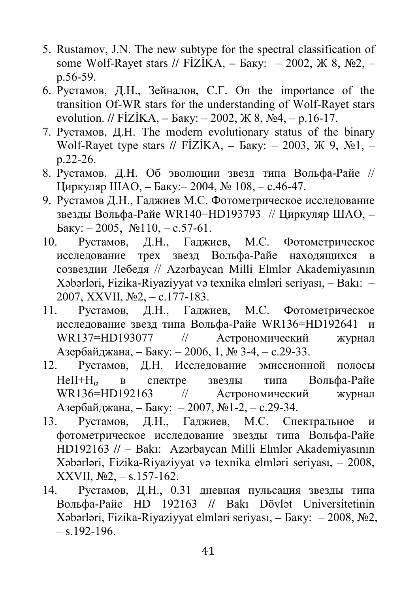- 5. Rustamov, J.N. The new subtype for the spectral classification of some Wolf-Rayet stars // FIZIKA, – Баку: – 2002, Ж 8, №2, – p.56-59.
- 6. Рустамов, Д.Н., Зейналов, С.Г. On the importance of the transition Of-WR stars for the understanding of Wolf-Rayet stars evolution. // FİZİKA, – Баку: – 2002, Ж 8, №4, – p.16-17.
- 7. Рустамов, Д.Н. The modern evolutionary status of the binary Wolf-Rayet type stars // FIZIKA, – Баку: – 2003, Ж 9, №1, – p.22-26.
- 8. Рустамов, Д.Н. Об эволюции звезд типа Вольфа-Райе // Циркуляр ШАО, – Баку:– 2004, № 108, – с.46-47.
- 9. Рустамов Д.Н., Гаджиев M.С. Фотометрическое исследование звезды Вольфа-Райе WR140=HD193793 // Циркуляр ШАО, – Баку: – 2005, №110, – с.57-61.
- 10. Рустамов, Д.Н., Гаджиев, M.С. Фотометрическое исследование трех звезд Вольфа-Райе находящихся в созвездии Лебедя // Azərbaycan Milli Elmlər Akademiyasının Xəbərləri, Fizika-Riyaziyyat və texnika elmləri seriyası, – Bakı: – 2007, XXVII, №2, – с.177-183.
- 11. Рустамов, Д.Н., Гаджиев, M.С. Фотометрическое исследование звезд типа Вольфа-Райе WR136=HD192641 и WR137=HD193077 // Астрономический журнал Азербайджана, – Баку: – 2006, 1, № 3-4, – с.29-33.
- 12. Рустамов, Д.Н. Исследование эмиссионной полосы  $HeII+H_{\alpha}$  в спектре звезды типа Вольфа-Райе WR136=HD192163 // Астрономический журнап WR136=HD192163 // Астрономический журнал Азербайджана, – Баку: – 2007, №1-2, – с.29-34.
- 13. Рустамов, Д.Н., Гаджиев, M.С. Спектральное и фотометрическое исследование звезды типа Вольфа-Райе НD192163 // – Bakı: Azərbaycan Milli Elmlər Akademiyasının Xəbərləri, Fizika-Riyaziyyat və texnika elmləri seriyası, – 2008, XXVII, №2, – s.157-162.
- 14. Рустамов, Д.Н., 0.31 дневная пульсация звезды типа Вольфа-Райе НD 192163 // Bakı Dövlət Universitetinin Xəbərləri, Fizika-Riyaziyyat elmləri seriyası, – Баку: – 2008, №2,  $-$  s.192-196.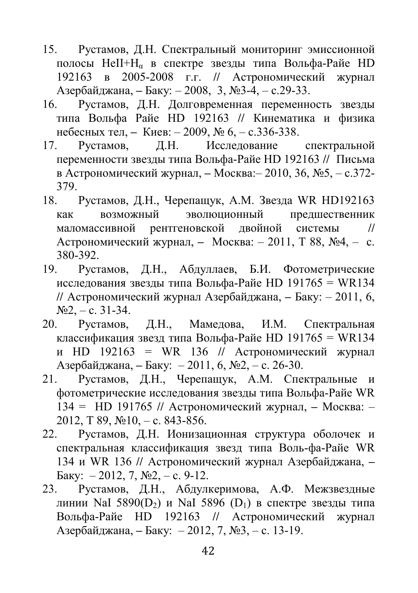- 15. Рустамов, Д.Н. Спектральный мониторинг эмиссионной полосы HeII+H<sub>α</sub> в спектре звезды типа Вольфа-Райе HD 192163 в 2005-2008 г.г. // Aстрономический журнал Азербайджана, – Баку: – 2008, 3, №3-4, – с.29-33.
- 16. Рустамов, Д.Н. Долговременная переменность звезды типа Вольфа Райе HD 192163 // Кинематика и физика небесных тел, – Киев: – 2009, № 6, – с.336-338.
- 17. Рустамов, Д.Н. Исследование спектральной переменности звезды типа Вольфа-Райе HD 192163 // Письма в Астрономический журнал, – Москва:– 2010, 36, №5, – с.372- 379.
- 18. Рустамов, Д.Н., Черепащук, А.М. Звезда WR HD192163 как возможный эволюционный предшественник маломассивной рентгеновской двойной системы // Астрономический журнал, – Москва: – 2011, Т 88, №4, – с. 380-392.
- 19. Рустамов, Д.Н., Абдуллаев, Б.И. Фотометрические исследования звезды типа Вольфа-Райе HD 191765 = WR134 // Aстрономический журнал Азербайджана, – Баку: – 2011, 6,  $N<sub>2</sub> - c. 31-34.$
- 20. Рустамов, Д.Н., Мамедова, И.М. Спектральная классификация звезд типа Вольфа-Райе HD 191765 = WR134 и HD 192163 = WR 136 // Aстрономический журнал Азербайджана, – Баку: – 2011, 6, №2, – с. 26-30.
- 21. Рустамов, Д.Н., Черепащук, А.М. Спектральные и фотометрические исследования звезды типа Вольфа-Райе WR 134 = HD 191765 // Астрономический журнал, – Москва: – 2012, T 89, №10, – с. 843-856.
- 22. Рустамов, Д.Н. Ионизационная структура оболочек и спектральная классификация звезд типа Воль-фа-Райе WR 134 и WR 136 // Aстрономический журнал Азербайджана, – Баку: – 2012, 7, №2, – с. 9-12.
- 23. Рустамов, Д.Н., Абдулкеримова, А.Ф. Межзвездные линии NaI 5890(D<sub>2</sub>) и NaI 5896 (D<sub>1</sub>) в спектре звезды типа Вольфа-Райе HD 192163 // Aстрономический журнал Азербайджана, – Баку: – 2012, 7, №3, – с. 13-19.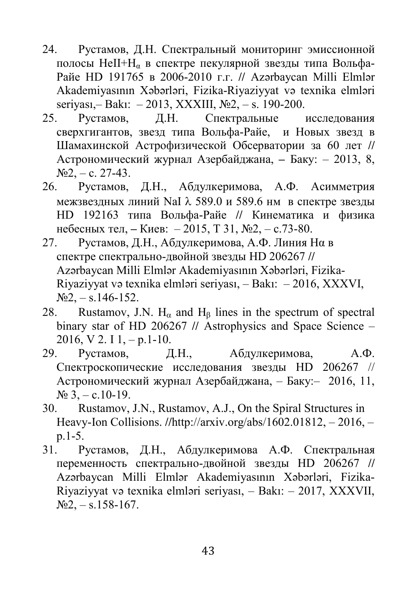- 24. Рустамов, Д.Н. Спектральный мониторинг эмиссионной полосы HeII+ $H_{\alpha}$  в спектре пекулярной звезды типа Вольфа-Райе HD 191765 в 2006-2010 г.г. // Azərbaycan Milli Elmlər Akademiyasının Xəbərləri, Fizika-Riyaziyyat və texnika elmləri seriyası,– Bakı: – 2013, XXXIII, №2, – s. 190-200.
- 25. Рустамов, Д.Н. Спектральные исследования сверхгигантов, звезд типа Вольфа-Райе, и Новых звезд в Шамахинской Астрофизической Обсерватории за 60 лет // Aстрономический журнал Азербайджана, – Баку: – 2013, 8,  $N_2$ , – c. 27-43.
- 26. Рустамов, Д.Н., Абдулкеримова, А.Ф. Асимметрия межзвездных линий NaI  $\lambda$  589.0 и 589.6 нм в спектре звезды HD 192163 типа Вольфа-Райе // Кинематика и физика небесных тел, – Киев: – 2015, Т 31, №2, – с.73-80.
- 27. Рустамов, Д.Н., Абдулкеримова, А.Ф. Линия Hα в спектре спектрально-двойной звезды HD 206267 // Azərbaycan Milli Elmlər Akademiyasının Xəbərləri, Fizika-Riyaziyyat və texnika elmləri seriyası, – Bakı: – 2016, XXXVI,  $N_2^2$ , – s.146-152.
- 28. Rustamov, J.N.  $H_{\alpha}$  and  $H_{\beta}$  lines in the spectrum of spectral binary star of HD 206267 // Astrophysics and Space Science –  $2016, V 2. I 1, -p.1-10.$
- 29. Рустамов, Д.Н., Абдулкеримова, А.Ф. Cпектроскопические исследования звезды HD 206267 // Астрономический журнал Азербайджана, – Баку:– 2016, 11,  $N_2$  3, – c.10-19.
- 30. Rustamov, J.N., Rustamov, A.J., On the Spiral Structures in Heavy-Ion Collisions. //http://arxiv.org/abs/1602.01812, – 2016, – p.1-5.
- 31. Рустамов, Д.Н., Абдулкеримова А.Ф. Спектральная переменность спектрально-двойной звезды HD 206267 // Azərbaycan Milli Elmlər Akademiyasının Xəbərləri, Fizika-Riyaziyyat və texnika elmləri seriyası, – Bakı: – 2017, XXXVII,  $N_2^2$ , – s.158-167.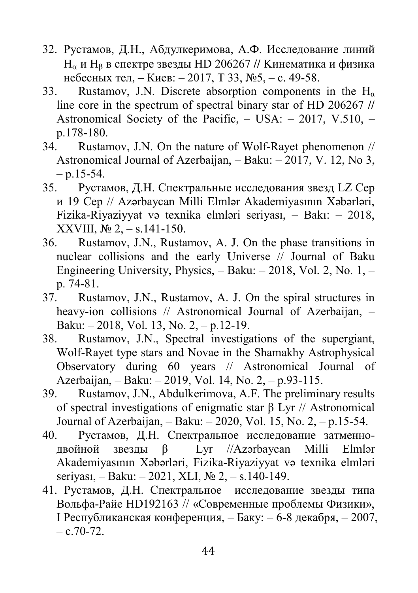- 32. Рустамов, Д.Н., Абдулкеримова, А.Ф. Исследование линий  $H_{\alpha}$  и  $H_{\beta}$  в спектре звезды HD 206267 // Кинематика и физика небесных тел, – Киев: – 2017, Т 33, №5, – с. 49-58.
- 33. Rustamov, J.N. Discrete absorption components in the  $H_{\alpha}$ line core in the spectrum of spectral binary star of HD 206267 // Astronomical Society of the Pacific, – USA: – 2017, V.510, – p.178-180.
- 34. Rustamov, J.N. On the nature of Wolf-Rayet phenomenon // Astronomical Journal of Azerbaijan, – Baku: – 2017, V. 12, No 3,  $- p.15 - 54.$
- 35. Рустамов, Д.Н. Спектральные исследования звезд LZ Cep и 19 Cep // Azərbaycan Milli Elmlər Akademiyasının Xəbərləri, Fizika-Riyaziyyat və texnika elmləri seriyası, – Bakı: – 2018, XXVIII, № 2,  $-$  s.141-150.
- 36. Rustamov, J.N., Rustamov, A. J. On the phase transitions in nuclear collisions and the early Universe // Journal of Baku Engineering University, Physics, – Baku: – 2018, Vol. 2, No. 1, – p. 74-81.
- 37. Rustamov, J.N., Rustamov, A. J. On the spiral structures in heavy-ion collisions // Astronomical Journal of Azerbaijan, -Baku: – 2018, Vol. 13, No. 2, – p.12-19.
- 38. Rustamov, J.N., Spectral investigations of the supergiant, Wolf-Rayet type stars and Novae in the Shamakhy Astrophysical Observatory during 60 years // Astronomical Journal of Azerbaijan, – Baku: – 2019, Vol. 14, No. 2, – p.93-115.
- 39. Rustamov, J.N., Abdulkerimova, A.F. The preliminary results of spectral investigations of enigmatic star β Lyr // Astronomical Journal of Azerbaijan, – Baku: – 2020, Vol. 15, No. 2, – p.15-54.
- 40. Рустамов, Д.Н. Спектральное исследование затменнодвойной звезды β Lyr //Azərbaycan Milli Elmlər Akademiyasının Xəbərləri, Fizika-Riyaziyyat və texnika elmləri seriyası, – Baku: – 2021, XLI, № 2, – s.140-149.
- 41. Рустамов, Д.Н. Спектральное исследование звезды типа Вольфа-Райе НD192163 // «Современные проблемы Физики», I Республиканская конференция, – Баку: – 6-8 декабря, – 2007,  $-$  c.70-72.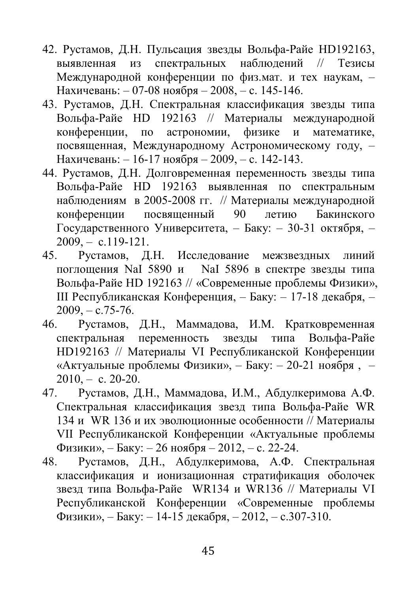- 42. Рустамов, Д.Н. Пульсация звезды Вольфа-Райе HD192163, выявленная из спектральных наблюдений // Тезисы Международной конференции по физ.мат. и тех наукам, – Нахичевань: – 07-08 ноября – 2008, – с. 145-146.
- 43. Рустамов, Д.Н. Спектральная классификация звезды типа Вольфа-Райе HD 192163 // Материалы международной конференции, по астрономии, физике и математике, посвященная, Международному Астрономическому году, – Нахичевань: – 16-17 ноября – 2009, – с. 142-143.
- 44. Рустамов, Д.Н. Долговременная переменность звезды типа Вольфа-Райе HD 192163 выявленная по спектральным наблюдениям в 2005-2008 гг. // Материалы международной конференции посвященный 90 летию Бакинского Государственного Университета, – Баку: – 30-31 октября, –  $2009, -c.119-121.$
- 45. Рустамов, Д.Н. Исследование межзвездных линий поглощения NaI 5890 и NaI 5896 в спектре звезды типа Вольфа-Райе HD 192163 // «Современные проблемы Физики», III Республиканская Конференция, – Баку: – 17-18 декабря, –  $2009 - c.75 - 76.$
- 46. Рустамов, Д.Н., Маммадова, И.М. Кратковременная спектральная переменность звезды типа Вольфа-Райе НD192163 // Материалы VI Республиканской Конференции «Актуальные проблемы Физики», – Баку: – 20-21 ноября , –  $2010, -c. 20-20.$
- 47. Рустамов, Д.Н., Маммадова, И.М., Абдулкеримова А.Ф. Спектральная классификация звезд типа Вольфа-Райе WR 134 и WR 136 и их эволюционные особенности // Материалы VII Республиканской Конференции «Актуальные проблемы Физики», – Баку: – 26 нoября – 2012, – с. 22-24.
- 48. Рустамов, Д.Н., Абдулкеримова, А.Ф. Спектральная классификация и ионизационная стратификация оболочек звезд типа Вольфа-Райе WR134 и WR136 // Материалы VI Республиканской Конференции «Современные проблемы Физики», – Баку: – 14-15 декабря, – 2012, – с.307-310.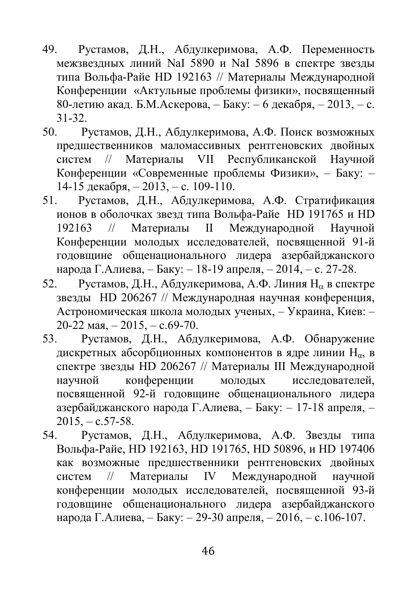- 49. Рустамов, Д.Н., Абдулкеримова, А.Ф. Переменность межзвездных линий NaI 5890 и NaI 5896 в спектре звезды типа Вольфа-Райе HD 192163 // Материалы Международной Конференции «Актульные проблемы физики», посвященный 80-летию акад. Б.М.Аскерова, – Баку: – 6 декабря, – 2013, – с. 31-32.
- 50. Рустамов, Д.Н., Абдулкеримова, А.Ф. Поиск возможных предшественников маломассивных рентгеновских двойных систем // Материалы VII Республиканской Научной Конференции «Современные проблемы Физики», – Баку: – 14-15 декабря, – 2013, – с. 109-110.
- 51. Рустамов, Д.Н., Абдулкеримова, А.Ф. Cтратификация ионов в оболочках звезд типа Вольфа-Райе HD 191765 и HD 192163 // Материалы II Международной Научной Конференции молодых исследователей, посвященной 91-й годовщине общенационального лидера азербайджанского народа Г.Алиева, – Баку: – 18-19 aпреля, – 2014, – с. 27-28.
- 52. Рустамов, Д.Н., Абдулкеримова, А.Ф. Линия Н<sub>а</sub> в спектре звезды HD 206267 // Международная научная конференция, Астрономическая школа молодых ученых, – Украина, Киев: – 20-22 мая,  $-2015$ ,  $-$  с.69-70.
- 53. Рустамов, Д.Н., Абдулкеримова, А.Ф. Обнаружение дискретных абсорбционных компонентов в ядре линии  $H_{\alpha}$ , в спектре звезды HD 206267 // Материалы III Международной научной конференции молодых исследователей, посвященной 92-й годовщине общенационального лидера азербайджанского народа Г.Алиева, – Баку: – 17-18 апреля, –  $2015, -c.57-58.$
- 54. Рустамов, Д.Н., Абдулкеримова, А.Ф. Звезды типа Вольфа-Райе, HD 192163, HD 191765, HD 50896, и HD 197406 как возможные предшественники рентгеновских двойных систем // Материалы IV Международной научной конференции молодых исследователей, посвященной 93-й годовщине общенационального лидера азербайджанского народа Г.Алиева, – Баку: – 29-30 апреля, – 2016, – с.106-107.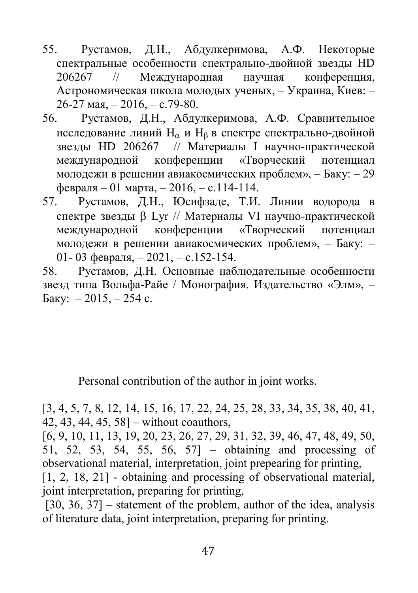- 55. Рустамов, Д.Н., Абдулкеримова, А.Ф. Некоторые спектральные особенности спектрально-двойной звезды HD 206267 // Международная научная конференция, Астрономическая школа молодых ученых, – Украина, Киев: – 26-27 мая, – 2016, – с.79-80.
- 56. Рустамов, Д.Н., Абдулкеримова, А.Ф. Сравнительное исследование линий  $H_{\alpha}$  и  $H_{\beta}$  в спектре спектрально-двойной звезды HD 206267 // Материалы I научно-практической международной конференции «Творческий потенциал молодежи в решении авиакосмических проблем», – Баку: – 29 февраля – 01 марта, – 2016, – с.114-114.
- 57. Рустамов, Д.Н., Юсифзаде, Т.И. Линии водорода в спектре звезды Lyr // Материалы VI научно-практической международной конференции «Творческий потенциал молодежи в решении авиакосмических проблем», – Баку: – 01- 03 февраля, – 2021, – с.152-154.

58. Рустамов, Д.Н. Основные наблюдательные особенности звезд типа Вольфа-Райе / Монография. Издательство «Элм», – Баку:  $-2015, -254$  с.

Personal contribution of the author in joint works.

[3, 4, 5, 7, 8, 12, 14, 15, 16, 17, 22, 24, 25, 28, 33, 34, 35, 38, 40, 41, 42, 43, 44, 45, 58] – without coauthors,

[6, 9, 10, 11, 13, 19, 20, 23, 26, 27, 29, 31, 32, 39, 46, 47, 48, 49, 50, 51, 52, 53, 54, 55, 56, 57] – obtaining and processing of observational material, interpretation, joint prepearing for printing, [1, 2, 18, 21] - obtaining and processing of observational material, joint interpretation, preparing for printing,

 $[30, 36, 37]$  – statement of the problem, author of the idea, analysis of literature data, joint interpretation, preparing for printing.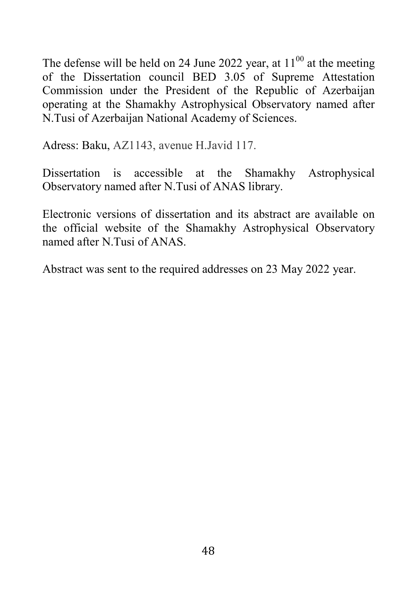The defense will be held on 24 June 2022 year, at  $11^{00}$  at the meeting of the Dissertation council BED 3.05 of Supreme Attestation Commission under the President of the Republic of Azerbaijan operating at the Shamakhy Astrophysical Observatory named after N.Tusi of Azerbaijan National Academy of Sciences.

Adress: Baku, AZ1143, avenue H.Javid 117.

Dissertation is accessible at the Shamakhy Astrophysical Observatory named after N.Tusi of ANAS library.

Electronic versions of dissertation and its abstract are available on the official website of the Shamakhy Astrophysical Observatory named after N.Tusi of ANAS.

Abstract was sent to the required addresses on 23 May 2022 year.